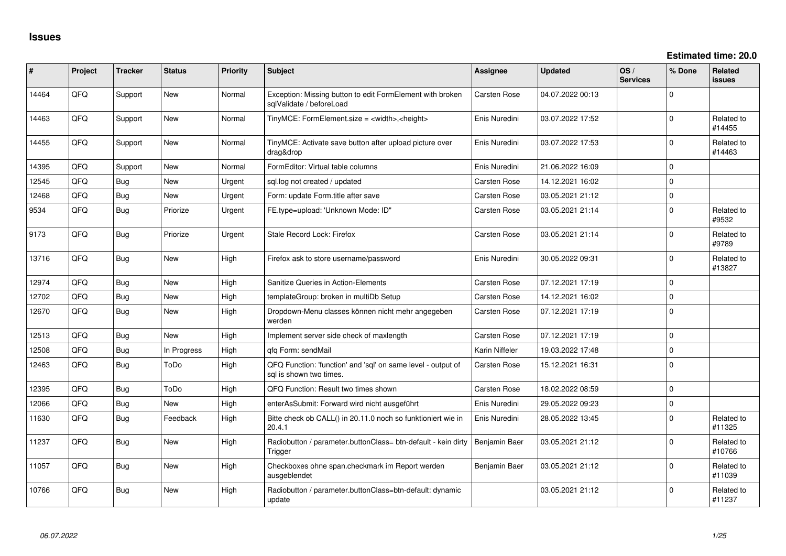**Estimated time: 20.0**

| #     | Project | <b>Tracker</b> | <b>Status</b> | <b>Priority</b> | <b>Subject</b>                                                                          | Assignee            | <b>Updated</b>   | OS/<br><b>Services</b> | % Done      | Related<br><b>issues</b> |
|-------|---------|----------------|---------------|-----------------|-----------------------------------------------------------------------------------------|---------------------|------------------|------------------------|-------------|--------------------------|
| 14464 | QFQ     | Support        | <b>New</b>    | Normal          | Exception: Missing button to edit FormElement with broken<br>sqlValidate / beforeLoad   | <b>Carsten Rose</b> | 04.07.2022 00:13 |                        | $\Omega$    |                          |
| 14463 | QFQ     | Support        | New           | Normal          | TinyMCE: FormElement.size = <width>,<height></height></width>                           | Enis Nuredini       | 03.07.2022 17:52 |                        | $\Omega$    | Related to<br>#14455     |
| 14455 | QFQ     | Support        | New           | Normal          | TinyMCE: Activate save button after upload picture over<br>drag&drop                    | Enis Nuredini       | 03.07.2022 17:53 |                        | $\Omega$    | Related to<br>#14463     |
| 14395 | QFQ     | Support        | New           | Normal          | FormEditor: Virtual table columns                                                       | Enis Nuredini       | 21.06.2022 16:09 |                        | $\Omega$    |                          |
| 12545 | QFQ     | Bug            | <b>New</b>    | Urgent          | sql.log not created / updated                                                           | <b>Carsten Rose</b> | 14.12.2021 16:02 |                        | $\Omega$    |                          |
| 12468 | QFQ     | <b>Bug</b>     | New           | Urgent          | Form: update Form.title after save                                                      | Carsten Rose        | 03.05.2021 21:12 |                        | $\Omega$    |                          |
| 9534  | QFQ     | Bug            | Priorize      | Urgent          | FE.type=upload: 'Unknown Mode: ID"                                                      | <b>Carsten Rose</b> | 03.05.2021 21:14 |                        | $\mathbf 0$ | Related to<br>#9532      |
| 9173  | QFQ     | <b>Bug</b>     | Priorize      | Urgent          | Stale Record Lock: Firefox                                                              | <b>Carsten Rose</b> | 03.05.2021 21:14 |                        | $\Omega$    | Related to<br>#9789      |
| 13716 | QFQ     | Bug            | New           | High            | Firefox ask to store username/password                                                  | Enis Nuredini       | 30.05.2022 09:31 |                        | $\mathbf 0$ | Related to<br>#13827     |
| 12974 | QFQ     | Bug            | <b>New</b>    | High            | Sanitize Queries in Action-Elements                                                     | <b>Carsten Rose</b> | 07.12.2021 17:19 |                        | $\mathbf 0$ |                          |
| 12702 | QFQ     | <b>Bug</b>     | New           | High            | templateGroup: broken in multiDb Setup                                                  | <b>Carsten Rose</b> | 14.12.2021 16:02 |                        | $\mathbf 0$ |                          |
| 12670 | QFQ     | <b>Bug</b>     | New           | High            | Dropdown-Menu classes können nicht mehr angegeben<br>werden                             | <b>Carsten Rose</b> | 07.12.2021 17:19 |                        | $\mathbf 0$ |                          |
| 12513 | QFQ     | <b>Bug</b>     | <b>New</b>    | High            | Implement server side check of maxlength                                                | <b>Carsten Rose</b> | 07.12.2021 17:19 |                        | $\mathbf 0$ |                          |
| 12508 | QFQ     | <b>Bug</b>     | In Progress   | High            | qfq Form: sendMail                                                                      | Karin Niffeler      | 19.03.2022 17:48 |                        | $\Omega$    |                          |
| 12463 | QFQ     | Bug            | ToDo          | High            | QFQ Function: 'function' and 'sql' on same level - output of<br>sal is shown two times. | <b>Carsten Rose</b> | 15.12.2021 16:31 |                        | $\Omega$    |                          |
| 12395 | QFQ     | Bug            | ToDo          | High            | QFQ Function: Result two times shown                                                    | <b>Carsten Rose</b> | 18.02.2022 08:59 |                        | $\Omega$    |                          |
| 12066 | QFQ     | Bug            | New           | High            | enterAsSubmit: Forward wird nicht ausgeführt                                            | Enis Nuredini       | 29.05.2022 09:23 |                        | $\mathbf 0$ |                          |
| 11630 | QFQ     | <b>Bug</b>     | Feedback      | High            | Bitte check ob CALL() in 20.11.0 noch so funktioniert wie in<br>20.4.1                  | Enis Nuredini       | 28.05.2022 13:45 |                        | $\Omega$    | Related to<br>#11325     |
| 11237 | QFQ     | Bug            | New           | High            | Radiobutton / parameter.buttonClass= btn-default - kein dirty<br>Trigger                | Benjamin Baer       | 03.05.2021 21:12 |                        | $\mathbf 0$ | Related to<br>#10766     |
| 11057 | QFQ     | Bug            | <b>New</b>    | High            | Checkboxes ohne span.checkmark im Report werden<br>ausgeblendet                         | Benjamin Baer       | 03.05.2021 21:12 |                        | $\Omega$    | Related to<br>#11039     |
| 10766 | QFQ     | Bug            | <b>New</b>    | High            | Radiobutton / parameter.buttonClass=btn-default: dynamic<br>update                      |                     | 03.05.2021 21:12 |                        | $\Omega$    | Related to<br>#11237     |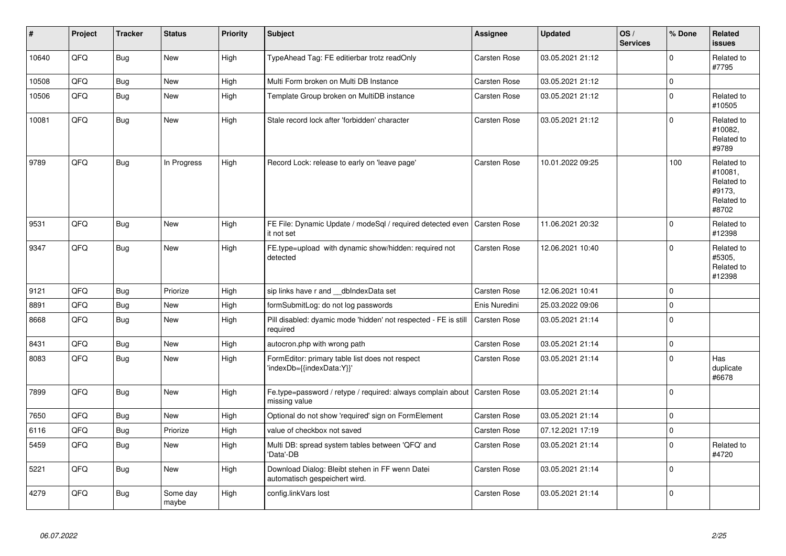| #     | Project | <b>Tracker</b> | <b>Status</b>     | <b>Priority</b> | <b>Subject</b>                                                                   | <b>Assignee</b>     | <b>Updated</b>   | OS/<br><b>Services</b> | % Done      | <b>Related</b><br><b>issues</b>                                      |
|-------|---------|----------------|-------------------|-----------------|----------------------------------------------------------------------------------|---------------------|------------------|------------------------|-------------|----------------------------------------------------------------------|
| 10640 | QFQ     | Bug            | <b>New</b>        | High            | TypeAhead Tag: FE editierbar trotz readOnly                                      | Carsten Rose        | 03.05.2021 21:12 |                        | $\mathbf 0$ | Related to<br>#7795                                                  |
| 10508 | QFQ     | Bug            | <b>New</b>        | High            | Multi Form broken on Multi DB Instance                                           | <b>Carsten Rose</b> | 03.05.2021 21:12 |                        | $\mathbf 0$ |                                                                      |
| 10506 | QFQ     | Bug            | <b>New</b>        | High            | Template Group broken on MultiDB instance                                        | Carsten Rose        | 03.05.2021 21:12 |                        | $\mathbf 0$ | Related to<br>#10505                                                 |
| 10081 | QFQ     | Bug            | <b>New</b>        | High            | Stale record lock after 'forbidden' character                                    | Carsten Rose        | 03.05.2021 21:12 |                        | $\mathbf 0$ | Related to<br>#10082,<br>Related to<br>#9789                         |
| 9789  | QFQ     | Bug            | In Progress       | High            | Record Lock: release to early on 'leave page'                                    | Carsten Rose        | 10.01.2022 09:25 |                        | 100         | Related to<br>#10081,<br>Related to<br>#9173,<br>Related to<br>#8702 |
| 9531  | QFQ     | <b>Bug</b>     | <b>New</b>        | High            | FE File: Dynamic Update / modeSql / required detected even<br>it not set         | <b>Carsten Rose</b> | 11.06.2021 20:32 |                        | $\Omega$    | Related to<br>#12398                                                 |
| 9347  | QFQ     | Bug            | <b>New</b>        | High            | FE.type=upload with dynamic show/hidden: required not<br>detected                | Carsten Rose        | 12.06.2021 10:40 |                        | $\mathbf 0$ | Related to<br>#5305,<br>Related to<br>#12398                         |
| 9121  | QFQ     | <b>Bug</b>     | Priorize          | High            | sip links have r and __dbIndexData set                                           | Carsten Rose        | 12.06.2021 10:41 |                        | $\mathbf 0$ |                                                                      |
| 8891  | QFQ     | <b>Bug</b>     | New               | High            | formSubmitLog: do not log passwords                                              | Enis Nuredini       | 25.03.2022 09:06 |                        | $\mathbf 0$ |                                                                      |
| 8668  | QFQ     | Bug            | <b>New</b>        | High            | Pill disabled: dyamic mode 'hidden' not respected - FE is still<br>required      | <b>Carsten Rose</b> | 03.05.2021 21:14 |                        | $\mathbf 0$ |                                                                      |
| 8431  | QFQ     | <b>Bug</b>     | <b>New</b>        | High            | autocron.php with wrong path                                                     | <b>Carsten Rose</b> | 03.05.2021 21:14 |                        | $\mathbf 0$ |                                                                      |
| 8083  | QFQ     | Bug            | <b>New</b>        | High            | FormEditor: primary table list does not respect<br>'indexDb={{indexData:Y}}'     | Carsten Rose        | 03.05.2021 21:14 |                        | $\Omega$    | Has<br>duplicate<br>#6678                                            |
| 7899  | QFQ     | Bug            | <b>New</b>        | High            | Fe.type=password / retype / required: always complain about<br>missing value     | Carsten Rose        | 03.05.2021 21:14 |                        | $\Omega$    |                                                                      |
| 7650  | QFQ     | <b>Bug</b>     | <b>New</b>        | High            | Optional do not show 'required' sign on FormElement                              | Carsten Rose        | 03.05.2021 21:14 |                        | $\mathbf 0$ |                                                                      |
| 6116  | QFQ     | <b>Bug</b>     | Priorize          | High            | value of checkbox not saved                                                      | <b>Carsten Rose</b> | 07.12.2021 17:19 |                        | $\mathbf 0$ |                                                                      |
| 5459  | QFQ     | Bug            | <b>New</b>        | High            | Multi DB: spread system tables between 'QFQ' and<br>'Data'-DB                    | Carsten Rose        | 03.05.2021 21:14 |                        | $\Omega$    | Related to<br>#4720                                                  |
| 5221  | QFQ     | Bug            | <b>New</b>        | High            | Download Dialog: Bleibt stehen in FF wenn Datei<br>automatisch gespeichert wird. | <b>Carsten Rose</b> | 03.05.2021 21:14 |                        | $\mathbf 0$ |                                                                      |
| 4279  | QFQ     | <b>Bug</b>     | Some day<br>maybe | High            | config.linkVars lost                                                             | <b>Carsten Rose</b> | 03.05.2021 21:14 |                        | $\mathbf 0$ |                                                                      |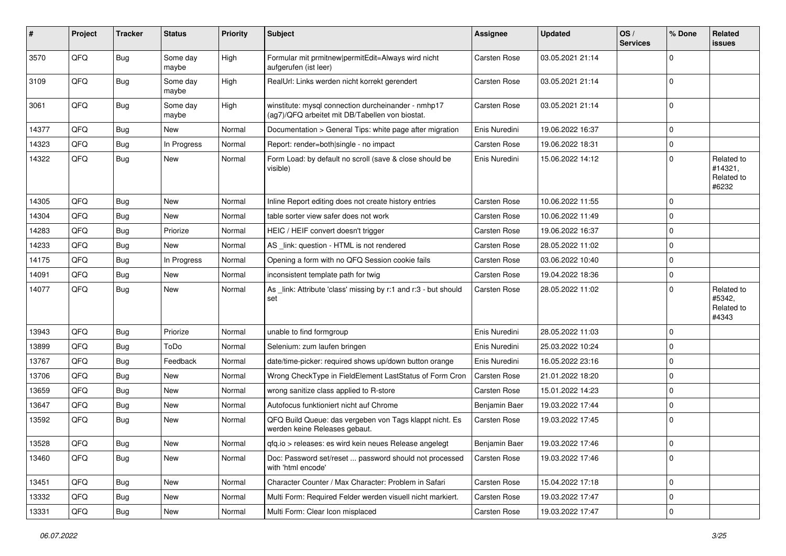| #     | Project | <b>Tracker</b> | <b>Status</b>     | <b>Priority</b> | <b>Subject</b>                                                                                         | Assignee            | <b>Updated</b>   | OS/<br><b>Services</b> | % Done      | <b>Related</b><br><b>issues</b>              |
|-------|---------|----------------|-------------------|-----------------|--------------------------------------------------------------------------------------------------------|---------------------|------------------|------------------------|-------------|----------------------------------------------|
| 3570  | QFQ     | <b>Bug</b>     | Some day<br>maybe | High            | Formular mit prmitnew permitEdit=Always wird nicht<br>aufgerufen (ist leer)                            | Carsten Rose        | 03.05.2021 21:14 |                        | $\Omega$    |                                              |
| 3109  | QFQ     | <b>Bug</b>     | Some day<br>maybe | High            | RealUrl: Links werden nicht korrekt gerendert                                                          | Carsten Rose        | 03.05.2021 21:14 |                        | $\mathbf 0$ |                                              |
| 3061  | QFQ     | Bug            | Some day<br>maybe | High            | winstitute: mysql connection durcheinander - nmhp17<br>(ag7)/QFQ arbeitet mit DB/Tabellen von biostat. | Carsten Rose        | 03.05.2021 21:14 |                        | $\mathbf 0$ |                                              |
| 14377 | QFQ     | <b>Bug</b>     | <b>New</b>        | Normal          | Documentation > General Tips: white page after migration                                               | Enis Nuredini       | 19.06.2022 16:37 |                        | $\mathbf 0$ |                                              |
| 14323 | QFQ     | <b>Bug</b>     | In Progress       | Normal          | Report: render=both single - no impact                                                                 | Carsten Rose        | 19.06.2022 18:31 |                        | $\mathbf 0$ |                                              |
| 14322 | QFQ     | <b>Bug</b>     | New               | Normal          | Form Load: by default no scroll (save & close should be<br>visible)                                    | Enis Nuredini       | 15.06.2022 14:12 |                        | $\mathbf 0$ | Related to<br>#14321,<br>Related to<br>#6232 |
| 14305 | QFQ     | Bug            | <b>New</b>        | Normal          | Inline Report editing does not create history entries                                                  | Carsten Rose        | 10.06.2022 11:55 |                        | $\mathbf 0$ |                                              |
| 14304 | QFQ     | <b>Bug</b>     | <b>New</b>        | Normal          | table sorter view safer does not work                                                                  | Carsten Rose        | 10.06.2022 11:49 |                        | $\mathbf 0$ |                                              |
| 14283 | QFQ     | <b>Bug</b>     | Priorize          | Normal          | HEIC / HEIF convert doesn't trigger                                                                    | <b>Carsten Rose</b> | 19.06.2022 16:37 |                        | $\mathbf 0$ |                                              |
| 14233 | QFQ     | <b>Bug</b>     | <b>New</b>        | Normal          | AS _link: question - HTML is not rendered                                                              | Carsten Rose        | 28.05.2022 11:02 |                        | $\mathbf 0$ |                                              |
| 14175 | QFQ     | <b>Bug</b>     | In Progress       | Normal          | Opening a form with no QFQ Session cookie fails                                                        | <b>Carsten Rose</b> | 03.06.2022 10:40 |                        | $\mathbf 0$ |                                              |
| 14091 | QFQ     | <b>Bug</b>     | <b>New</b>        | Normal          | inconsistent template path for twig                                                                    | Carsten Rose        | 19.04.2022 18:36 |                        | $\mathbf 0$ |                                              |
| 14077 | QFQ     | Bug            | New               | Normal          | As _link: Attribute 'class' missing by r:1 and r:3 - but should<br>set                                 | <b>Carsten Rose</b> | 28.05.2022 11:02 |                        | $\mathbf 0$ | Related to<br>#5342,<br>Related to<br>#4343  |
| 13943 | QFQ     | <b>Bug</b>     | Priorize          | Normal          | unable to find formgroup                                                                               | Enis Nuredini       | 28.05.2022 11:03 |                        | $\mathbf 0$ |                                              |
| 13899 | QFQ     | <b>Bug</b>     | ToDo              | Normal          | Selenium: zum laufen bringen                                                                           | Enis Nuredini       | 25.03.2022 10:24 |                        | $\mathbf 0$ |                                              |
| 13767 | QFQ     | <b>Bug</b>     | Feedback          | Normal          | date/time-picker: required shows up/down button orange                                                 | Enis Nuredini       | 16.05.2022 23:16 |                        | $\mathbf 0$ |                                              |
| 13706 | QFQ     | <b>Bug</b>     | <b>New</b>        | Normal          | Wrong CheckType in FieldElement LastStatus of Form Cron                                                | <b>Carsten Rose</b> | 21.01.2022 18:20 |                        | $\mathbf 0$ |                                              |
| 13659 | QFQ     | <b>Bug</b>     | <b>New</b>        | Normal          | wrong sanitize class applied to R-store                                                                | Carsten Rose        | 15.01.2022 14:23 |                        | $\mathbf 0$ |                                              |
| 13647 | QFQ     | Bug            | New               | Normal          | Autofocus funktioniert nicht auf Chrome                                                                | Benjamin Baer       | 19.03.2022 17:44 |                        | 0           |                                              |
| 13592 | QFQ     | Bug            | <b>New</b>        | Normal          | QFQ Build Queue: das vergeben von Tags klappt nicht. Es<br>werden keine Releases gebaut.               | Carsten Rose        | 19.03.2022 17:45 |                        | $\Omega$    |                                              |
| 13528 | QFQ     | Bug            | New               | Normal          | qfq.io > releases: es wird kein neues Release angelegt                                                 | Benjamin Baer       | 19.03.2022 17:46 |                        | $\Omega$    |                                              |
| 13460 | QFQ     | Bug            | New               | Normal          | Doc: Password set/reset  password should not processed<br>with 'html encode'                           | <b>Carsten Rose</b> | 19.03.2022 17:46 |                        | $\mathbf 0$ |                                              |
| 13451 | QFQ     | Bug            | <b>New</b>        | Normal          | Character Counter / Max Character: Problem in Safari                                                   | Carsten Rose        | 15.04.2022 17:18 |                        | $\mathbf 0$ |                                              |
| 13332 | QFQ     | <b>Bug</b>     | New               | Normal          | Multi Form: Required Felder werden visuell nicht markiert.                                             | Carsten Rose        | 19.03.2022 17:47 |                        | $\mathbf 0$ |                                              |
| 13331 | QFQ     | Bug            | New               | Normal          | Multi Form: Clear Icon misplaced                                                                       | Carsten Rose        | 19.03.2022 17:47 |                        | $\mathbf 0$ |                                              |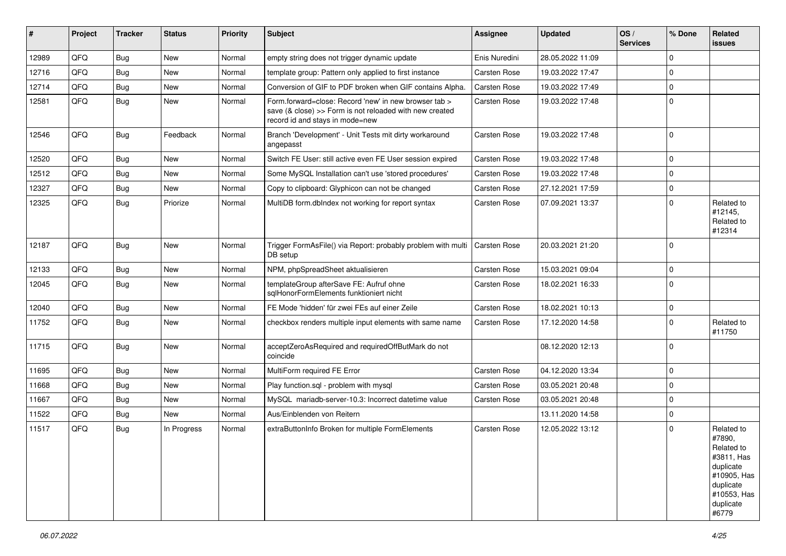| ∥ #   | Project | <b>Tracker</b> | <b>Status</b> | <b>Priority</b> | Subject                                                                                                                                             | Assignee            | <b>Updated</b>   | OS/<br><b>Services</b> | % Done      | Related<br><b>issues</b>                                                                                                       |
|-------|---------|----------------|---------------|-----------------|-----------------------------------------------------------------------------------------------------------------------------------------------------|---------------------|------------------|------------------------|-------------|--------------------------------------------------------------------------------------------------------------------------------|
| 12989 | QFQ     | Bug            | <b>New</b>    | Normal          | empty string does not trigger dynamic update                                                                                                        | Enis Nuredini       | 28.05.2022 11:09 |                        | $\Omega$    |                                                                                                                                |
| 12716 | QFQ     | <b>Bug</b>     | <b>New</b>    | Normal          | template group: Pattern only applied to first instance                                                                                              | <b>Carsten Rose</b> | 19.03.2022 17:47 |                        | $\Omega$    |                                                                                                                                |
| 12714 | QFQ     | Bug            | New           | Normal          | Conversion of GIF to PDF broken when GIF contains Alpha.                                                                                            | Carsten Rose        | 19.03.2022 17:49 |                        | $\mathbf 0$ |                                                                                                                                |
| 12581 | QFQ     | Bug            | <b>New</b>    | Normal          | Form.forward=close: Record 'new' in new browser tab ><br>save (& close) >> Form is not reloaded with new created<br>record id and stays in mode=new | Carsten Rose        | 19.03.2022 17:48 |                        | $\mathbf 0$ |                                                                                                                                |
| 12546 | QFQ     | Bug            | Feedback      | Normal          | Branch 'Development' - Unit Tests mit dirty workaround<br>angepasst                                                                                 | Carsten Rose        | 19.03.2022 17:48 |                        | $\mathbf 0$ |                                                                                                                                |
| 12520 | QFQ     | Bug            | <b>New</b>    | Normal          | Switch FE User: still active even FE User session expired                                                                                           | <b>Carsten Rose</b> | 19.03.2022 17:48 |                        | $\mathbf 0$ |                                                                                                                                |
| 12512 | QFQ     | Bug            | New           | Normal          | Some MySQL Installation can't use 'stored procedures'                                                                                               | Carsten Rose        | 19.03.2022 17:48 |                        | $\mathbf 0$ |                                                                                                                                |
| 12327 | QFQ     | <b>Bug</b>     | <b>New</b>    | Normal          | Copy to clipboard: Glyphicon can not be changed                                                                                                     | Carsten Rose        | 27.12.2021 17:59 |                        | $\Omega$    |                                                                                                                                |
| 12325 | QFQ     | Bug            | Priorize      | Normal          | MultiDB form.dblndex not working for report syntax                                                                                                  | Carsten Rose        | 07.09.2021 13:37 |                        | $\Omega$    | Related to<br>#12145,<br>Related to<br>#12314                                                                                  |
| 12187 | QFQ     | Bug            | <b>New</b>    | Normal          | Trigger FormAsFile() via Report: probably problem with multi<br>DB setup                                                                            | <b>Carsten Rose</b> | 20.03.2021 21:20 |                        | $\Omega$    |                                                                                                                                |
| 12133 | QFQ     | Bug            | <b>New</b>    | Normal          | NPM, phpSpreadSheet aktualisieren                                                                                                                   | <b>Carsten Rose</b> | 15.03.2021 09:04 |                        | $\mathbf 0$ |                                                                                                                                |
| 12045 | QFQ     | Bug            | New           | Normal          | templateGroup afterSave FE: Aufruf ohne<br>sqlHonorFormElements funktioniert nicht                                                                  | <b>Carsten Rose</b> | 18.02.2021 16:33 |                        | $\Omega$    |                                                                                                                                |
| 12040 | QFQ     | Bug            | <b>New</b>    | Normal          | FE Mode 'hidden' für zwei FEs auf einer Zeile                                                                                                       | Carsten Rose        | 18.02.2021 10:13 |                        | $\mathbf 0$ |                                                                                                                                |
| 11752 | QFQ     | <b>Bug</b>     | New           | Normal          | checkbox renders multiple input elements with same name                                                                                             | <b>Carsten Rose</b> | 17.12.2020 14:58 |                        | $\Omega$    | Related to<br>#11750                                                                                                           |
| 11715 | QFQ     | Bug            | <b>New</b>    | Normal          | acceptZeroAsRequired and requiredOffButMark do not<br>coincide                                                                                      |                     | 08.12.2020 12:13 |                        | $\mathbf 0$ |                                                                                                                                |
| 11695 | QFQ     | Bug            | <b>New</b>    | Normal          | MultiForm required FE Error                                                                                                                         | <b>Carsten Rose</b> | 04.12.2020 13:34 |                        | $\mathbf 0$ |                                                                                                                                |
| 11668 | QFQ     | Bug            | New           | Normal          | Play function.sql - problem with mysql                                                                                                              | Carsten Rose        | 03.05.2021 20:48 |                        | $\Omega$    |                                                                                                                                |
| 11667 | QFQ     | Bug            | <b>New</b>    | Normal          | MySQL mariadb-server-10.3: Incorrect datetime value                                                                                                 | <b>Carsten Rose</b> | 03.05.2021 20:48 |                        | $\mathbf 0$ |                                                                                                                                |
| 11522 | QFQ     | <b>Bug</b>     | New           | Normal          | Aus/Einblenden von Reitern                                                                                                                          |                     | 13.11.2020 14:58 |                        | $\Omega$    |                                                                                                                                |
| 11517 | QFQ     | Bug            | In Progress   | Normal          | extraButtonInfo Broken for multiple FormElements                                                                                                    | Carsten Rose        | 12.05.2022 13:12 |                        | $\Omega$    | Related to<br>#7890.<br>Related to<br>#3811, Has<br>duplicate<br>#10905, Has<br>duplicate<br>#10553, Has<br>duplicate<br>#6779 |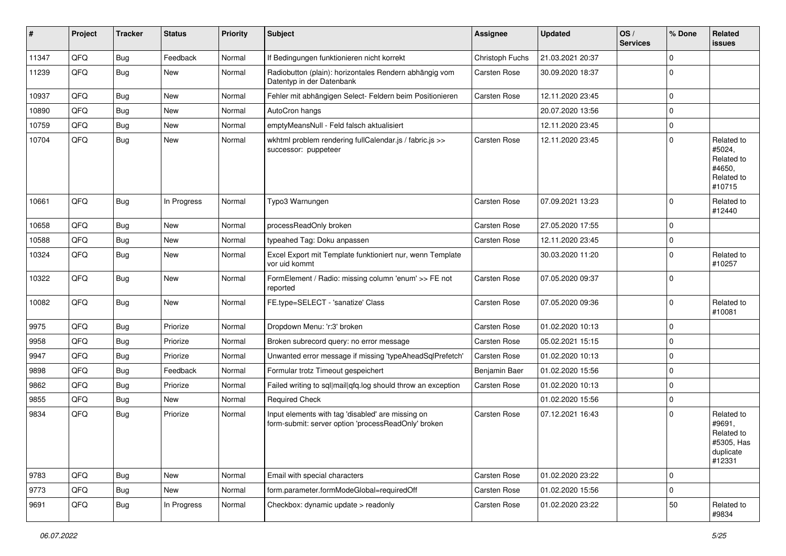| #     | Project | <b>Tracker</b> | <b>Status</b> | <b>Priority</b> | Subject                                                                                                  | <b>Assignee</b>     | <b>Updated</b>   | OS/<br><b>Services</b> | % Done      | Related<br>issues                                                       |
|-------|---------|----------------|---------------|-----------------|----------------------------------------------------------------------------------------------------------|---------------------|------------------|------------------------|-------------|-------------------------------------------------------------------------|
| 11347 | QFQ     | <b>Bug</b>     | Feedback      | Normal          | If Bedingungen funktionieren nicht korrekt                                                               | Christoph Fuchs     | 21.03.2021 20:37 |                        | $\mathbf 0$ |                                                                         |
| 11239 | QFQ     | <b>Bug</b>     | New           | Normal          | Radiobutton (plain): horizontales Rendern abhängig vom<br>Datentyp in der Datenbank                      | <b>Carsten Rose</b> | 30.09.2020 18:37 |                        | $\mathbf 0$ |                                                                         |
| 10937 | QFQ     | <b>Bug</b>     | New           | Normal          | Fehler mit abhängigen Select- Feldern beim Positionieren                                                 | Carsten Rose        | 12.11.2020 23:45 |                        | $\mathbf 0$ |                                                                         |
| 10890 | QFQ     | <b>Bug</b>     | <b>New</b>    | Normal          | AutoCron hangs                                                                                           |                     | 20.07.2020 13:56 |                        | $\mathbf 0$ |                                                                         |
| 10759 | QFQ     | <b>Bug</b>     | <b>New</b>    | Normal          | emptyMeansNull - Feld falsch aktualisiert                                                                |                     | 12.11.2020 23:45 |                        | $\mathbf 0$ |                                                                         |
| 10704 | QFQ     | <b>Bug</b>     | New           | Normal          | wkhtml problem rendering fullCalendar.js / fabric.js >><br>successor: puppeteer                          | Carsten Rose        | 12.11.2020 23:45 |                        | $\mathbf 0$ | Related to<br>#5024,<br>Related to<br>#4650,<br>Related to<br>#10715    |
| 10661 | QFQ     | Bug            | In Progress   | Normal          | Typo3 Warnungen                                                                                          | Carsten Rose        | 07.09.2021 13:23 |                        | $\mathbf 0$ | Related to<br>#12440                                                    |
| 10658 | QFQ     | <b>Bug</b>     | <b>New</b>    | Normal          | processReadOnly broken                                                                                   | <b>Carsten Rose</b> | 27.05.2020 17:55 |                        | $\mathbf 0$ |                                                                         |
| 10588 | QFQ     | <b>Bug</b>     | New           | Normal          | typeahed Tag: Doku anpassen                                                                              | Carsten Rose        | 12.11.2020 23:45 |                        | $\mathbf 0$ |                                                                         |
| 10324 | QFQ     | <b>Bug</b>     | <b>New</b>    | Normal          | Excel Export mit Template funktioniert nur, wenn Template<br>vor uid kommt                               |                     | 30.03.2020 11:20 |                        | $\mathbf 0$ | Related to<br>#10257                                                    |
| 10322 | QFQ     | <b>Bug</b>     | <b>New</b>    | Normal          | FormElement / Radio: missing column 'enum' >> FE not<br>reported                                         | Carsten Rose        | 07.05.2020 09:37 |                        | $\mathbf 0$ |                                                                         |
| 10082 | QFQ     | Bug            | New           | Normal          | FE.type=SELECT - 'sanatize' Class                                                                        | Carsten Rose        | 07.05.2020 09:36 |                        | $\mathbf 0$ | Related to<br>#10081                                                    |
| 9975  | QFQ     | <b>Bug</b>     | Priorize      | Normal          | Dropdown Menu: 'r:3' broken                                                                              | Carsten Rose        | 01.02.2020 10:13 |                        | $\mathbf 0$ |                                                                         |
| 9958  | QFQ     | <b>Bug</b>     | Priorize      | Normal          | Broken subrecord query: no error message                                                                 | Carsten Rose        | 05.02.2021 15:15 |                        | $\mathbf 0$ |                                                                         |
| 9947  | QFQ     | <b>Bug</b>     | Priorize      | Normal          | Unwanted error message if missing 'typeAheadSqlPrefetch'                                                 | Carsten Rose        | 01.02.2020 10:13 |                        | $\mathbf 0$ |                                                                         |
| 9898  | QFQ     | <b>Bug</b>     | Feedback      | Normal          | Formular trotz Timeout gespeichert                                                                       | Benjamin Baer       | 01.02.2020 15:56 |                        | $\mathbf 0$ |                                                                         |
| 9862  | QFQ     | <b>Bug</b>     | Priorize      | Normal          | Failed writing to sql mail qfq.log should throw an exception                                             | Carsten Rose        | 01.02.2020 10:13 |                        | $\mathbf 0$ |                                                                         |
| 9855  | QFQ     | <b>Bug</b>     | New           | Normal          | <b>Required Check</b>                                                                                    |                     | 01.02.2020 15:56 |                        | $\mathbf 0$ |                                                                         |
| 9834  | QFQ     | <b>Bug</b>     | Priorize      | Normal          | Input elements with tag 'disabled' are missing on<br>form-submit: server option 'processReadOnly' broken | Carsten Rose        | 07.12.2021 16:43 |                        | $\mathbf 0$ | Related to<br>#9691,<br>Related to<br>#5305, Has<br>duplicate<br>#12331 |
| 9783  | QFQ     | <b>Bug</b>     | New           | Normal          | Email with special characters                                                                            | Carsten Rose        | 01.02.2020 23:22 |                        | $\mathbf 0$ |                                                                         |
| 9773  | QFQ     | <b>Bug</b>     | New           | Normal          | form.parameter.formModeGlobal=requiredOff                                                                | Carsten Rose        | 01.02.2020 15:56 |                        | $\mathbf 0$ |                                                                         |
| 9691  | QFQ     | <b>Bug</b>     | In Progress   | Normal          | Checkbox: dynamic update > readonly                                                                      | Carsten Rose        | 01.02.2020 23:22 |                        | 50          | Related to<br>#9834                                                     |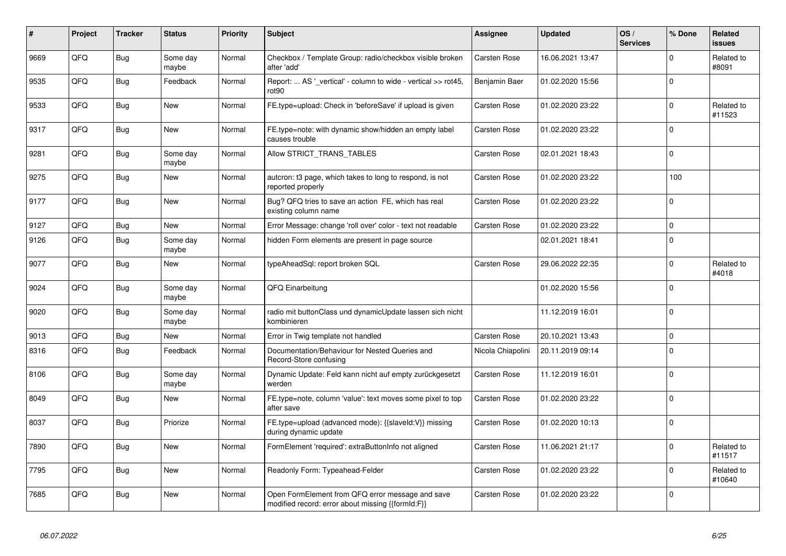| #    | Project | <b>Tracker</b> | <b>Status</b>     | <b>Priority</b> | <b>Subject</b>                                                                                        | Assignee          | <b>Updated</b>   | OS/<br><b>Services</b> | % Done       | Related<br>issues    |
|------|---------|----------------|-------------------|-----------------|-------------------------------------------------------------------------------------------------------|-------------------|------------------|------------------------|--------------|----------------------|
| 9669 | QFQ     | <b>Bug</b>     | Some day<br>maybe | Normal          | Checkbox / Template Group: radio/checkbox visible broken<br>after 'add'                               | Carsten Rose      | 16.06.2021 13:47 |                        | $\Omega$     | Related to<br>#8091  |
| 9535 | QFQ     | <b>Bug</b>     | Feedback          | Normal          | Report:  AS ' vertical' - column to wide - vertical >> rot45,<br>rot <sub>90</sub>                    | Benjamin Baer     | 01.02.2020 15:56 |                        | $\Omega$     |                      |
| 9533 | QFQ     | <b>Bug</b>     | <b>New</b>        | Normal          | FE.type=upload: Check in 'beforeSave' if upload is given                                              | Carsten Rose      | 01.02.2020 23:22 |                        | $\Omega$     | Related to<br>#11523 |
| 9317 | QFQ     | <b>Bug</b>     | New               | Normal          | FE.type=note: with dynamic show/hidden an empty label<br>causes trouble                               | Carsten Rose      | 01.02.2020 23:22 |                        | $\Omega$     |                      |
| 9281 | QFQ     | <b>Bug</b>     | Some day<br>maybe | Normal          | Allow STRICT_TRANS_TABLES                                                                             | Carsten Rose      | 02.01.2021 18:43 |                        | $\Omega$     |                      |
| 9275 | QFQ     | <b>Bug</b>     | <b>New</b>        | Normal          | autcron: t3 page, which takes to long to respond, is not<br>reported properly                         | Carsten Rose      | 01.02.2020 23:22 |                        | 100          |                      |
| 9177 | QFQ     | <b>Bug</b>     | New               | Normal          | Bug? QFQ tries to save an action FE, which has real<br>existing column name                           | Carsten Rose      | 01.02.2020 23:22 |                        | $\Omega$     |                      |
| 9127 | QFQ     | <b>Bug</b>     | <b>New</b>        | Normal          | Error Message: change 'roll over' color - text not readable                                           | Carsten Rose      | 01.02.2020 23:22 |                        | $\Omega$     |                      |
| 9126 | QFQ     | <b>Bug</b>     | Some day<br>maybe | Normal          | hidden Form elements are present in page source                                                       |                   | 02.01.2021 18:41 |                        | $\Omega$     |                      |
| 9077 | QFQ     | <b>Bug</b>     | New               | Normal          | typeAheadSql: report broken SQL                                                                       | Carsten Rose      | 29.06.2022 22:35 |                        | $\Omega$     | Related to<br>#4018  |
| 9024 | QFQ     | <b>Bug</b>     | Some day<br>maybe | Normal          | QFQ Einarbeitung                                                                                      |                   | 01.02.2020 15:56 |                        | $\Omega$     |                      |
| 9020 | QFQ     | <b>Bug</b>     | Some day<br>maybe | Normal          | radio mit buttonClass und dynamicUpdate lassen sich nicht<br>kombinieren                              |                   | 11.12.2019 16:01 |                        | $\mathbf{0}$ |                      |
| 9013 | QFQ     | <b>Bug</b>     | <b>New</b>        | Normal          | Error in Twig template not handled                                                                    | Carsten Rose      | 20.10.2021 13:43 |                        | $\mathbf{0}$ |                      |
| 8316 | QFQ     | <b>Bug</b>     | Feedback          | Normal          | Documentation/Behaviour for Nested Queries and<br>Record-Store confusing                              | Nicola Chiapolini | 20.11.2019 09:14 |                        | $\mathbf{0}$ |                      |
| 8106 | QFQ     | <b>Bug</b>     | Some day<br>maybe | Normal          | Dynamic Update: Feld kann nicht auf empty zurückgesetzt<br>werden                                     | Carsten Rose      | 11.12.2019 16:01 |                        | $\Omega$     |                      |
| 8049 | QFQ     | Bug            | <b>New</b>        | Normal          | FE.type=note, column 'value': text moves some pixel to top<br>after save                              | Carsten Rose      | 01.02.2020 23:22 |                        | $\Omega$     |                      |
| 8037 | QFQ     | Bug            | Priorize          | Normal          | FE.type=upload (advanced mode): {{slaveld:V}} missing<br>during dynamic update                        | Carsten Rose      | 01.02.2020 10:13 |                        | $\Omega$     |                      |
| 7890 | QFQ     | <b>Bug</b>     | <b>New</b>        | Normal          | FormElement 'required': extraButtonInfo not aligned                                                   | Carsten Rose      | 11.06.2021 21:17 |                        | $\Omega$     | Related to<br>#11517 |
| 7795 | QFQ     | <b>Bug</b>     | <b>New</b>        | Normal          | Readonly Form: Typeahead-Felder                                                                       | Carsten Rose      | 01.02.2020 23:22 |                        | $\Omega$     | Related to<br>#10640 |
| 7685 | QFQ     | Bug            | New               | Normal          | Open FormElement from QFQ error message and save<br>modified record: error about missing {{formId:F}} | Carsten Rose      | 01.02.2020 23:22 |                        | $\Omega$     |                      |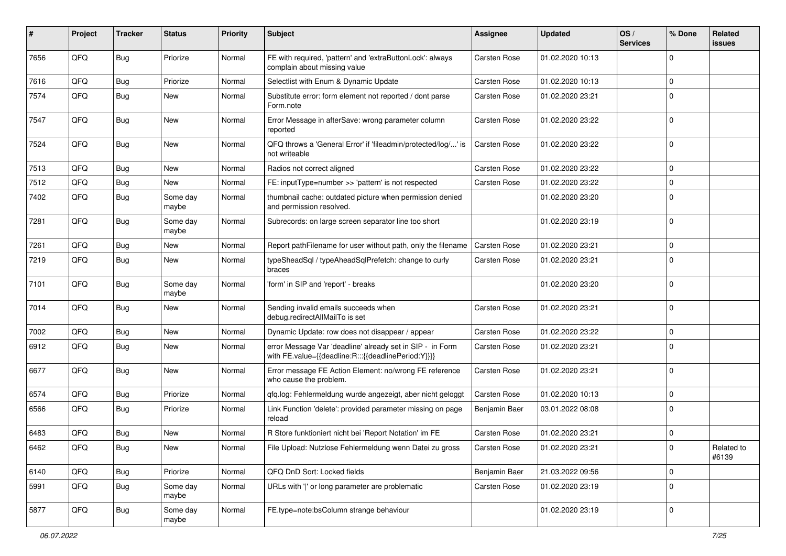| #    | Project | <b>Tracker</b> | <b>Status</b>     | <b>Priority</b> | <b>Subject</b>                                                                                                   | <b>Assignee</b>     | <b>Updated</b>   | OS/<br><b>Services</b> | % Done         | Related<br><b>issues</b> |
|------|---------|----------------|-------------------|-----------------|------------------------------------------------------------------------------------------------------------------|---------------------|------------------|------------------------|----------------|--------------------------|
| 7656 | QFQ     | Bug            | Priorize          | Normal          | FE with required, 'pattern' and 'extraButtonLock': always<br>complain about missing value                        | <b>Carsten Rose</b> | 01.02.2020 10:13 |                        | $\Omega$       |                          |
| 7616 | QFQ     | Bug            | Priorize          | Normal          | Selectlist with Enum & Dynamic Update                                                                            | Carsten Rose        | 01.02.2020 10:13 |                        | $\Omega$       |                          |
| 7574 | QFQ     | Bug            | New               | Normal          | Substitute error: form element not reported / dont parse<br>Form.note                                            | Carsten Rose        | 01.02.2020 23:21 |                        | $\Omega$       |                          |
| 7547 | QFQ     | Bug            | <b>New</b>        | Normal          | Error Message in afterSave: wrong parameter column<br>reported                                                   | <b>Carsten Rose</b> | 01.02.2020 23:22 |                        | $\Omega$       |                          |
| 7524 | QFQ     | <b>Bug</b>     | New               | Normal          | QFQ throws a 'General Error' if 'fileadmin/protected/log/' is<br>not writeable                                   | Carsten Rose        | 01.02.2020 23:22 |                        | $\Omega$       |                          |
| 7513 | QFQ     | Bug            | <b>New</b>        | Normal          | Radios not correct aligned                                                                                       | Carsten Rose        | 01.02.2020 23:22 |                        | $\mathbf{0}$   |                          |
| 7512 | QFQ     | <b>Bug</b>     | <b>New</b>        | Normal          | FE: inputType=number >> 'pattern' is not respected                                                               | <b>Carsten Rose</b> | 01.02.2020 23:22 |                        | $\Omega$       |                          |
| 7402 | QFQ     | Bug            | Some day<br>maybe | Normal          | thumbnail cache: outdated picture when permission denied<br>and permission resolved.                             |                     | 01.02.2020 23:20 |                        | $\Omega$       |                          |
| 7281 | QFQ     | Bug            | Some day<br>maybe | Normal          | Subrecords: on large screen separator line too short                                                             |                     | 01.02.2020 23:19 |                        | $\Omega$       |                          |
| 7261 | QFQ     | Bug            | New               | Normal          | Report pathFilename for user without path, only the filename                                                     | Carsten Rose        | 01.02.2020 23:21 |                        | $\Omega$       |                          |
| 7219 | QFQ     | Bug            | New               | Normal          | typeSheadSql / typeAheadSqlPrefetch: change to curly<br>braces                                                   | Carsten Rose        | 01.02.2020 23:21 |                        | $\mathbf 0$    |                          |
| 7101 | QFQ     | Bug            | Some day<br>maybe | Normal          | 'form' in SIP and 'report' - breaks                                                                              |                     | 01.02.2020 23:20 |                        | $\Omega$       |                          |
| 7014 | QFQ     | Bug            | <b>New</b>        | Normal          | Sending invalid emails succeeds when<br>debug.redirectAllMailTo is set                                           | Carsten Rose        | 01.02.2020 23:21 |                        | $\Omega$       |                          |
| 7002 | QFQ     | Bug            | New               | Normal          | Dynamic Update: row does not disappear / appear                                                                  | <b>Carsten Rose</b> | 01.02.2020 23:22 |                        | $\mathbf{0}$   |                          |
| 6912 | QFQ     | Bug            | <b>New</b>        | Normal          | error Message Var 'deadline' already set in SIP - in Form<br>with FE.value={{deadline:R:::{{deadlinePeriod:Y}}}} | Carsten Rose        | 01.02.2020 23:21 |                        | $\Omega$       |                          |
| 6677 | QFQ     | Bug            | <b>New</b>        | Normal          | Error message FE Action Element: no/wrong FE reference<br>who cause the problem.                                 | Carsten Rose        | 01.02.2020 23:21 |                        | $\Omega$       |                          |
| 6574 | QFQ     | Bug            | Priorize          | Normal          | qfq.log: Fehlermeldung wurde angezeigt, aber nicht geloggt                                                       | <b>Carsten Rose</b> | 01.02.2020 10:13 |                        | $\mathbf 0$    |                          |
| 6566 | QFQ     | Bug            | Priorize          | Normal          | Link Function 'delete': provided parameter missing on page<br>reload                                             | Benjamin Baer       | 03.01.2022 08:08 |                        | $\Omega$       |                          |
| 6483 | QFQ     | Bug            | <b>New</b>        | Normal          | R Store funktioniert nicht bei 'Report Notation' im FE                                                           | <b>Carsten Rose</b> | 01.02.2020 23:21 |                        | $\Omega$       |                          |
| 6462 | QFQ     | Bug            | New               | Normal          | File Upload: Nutzlose Fehlermeldung wenn Datei zu gross                                                          | Carsten Rose        | 01.02.2020 23:21 |                        | $\overline{0}$ | Related to<br>#6139      |
| 6140 | QFQ     | <b>Bug</b>     | Priorize          | Normal          | QFQ DnD Sort: Locked fields                                                                                      | Benjamin Baer       | 21.03.2022 09:56 |                        | $\mathbf{0}$   |                          |
| 5991 | QFQ     | <b>Bug</b>     | Some day<br>maybe | Normal          | URLs with ' ' or long parameter are problematic                                                                  | Carsten Rose        | 01.02.2020 23:19 |                        | $\Omega$       |                          |
| 5877 | QFQ     | Bug            | Some day<br>maybe | Normal          | FE.type=note:bsColumn strange behaviour                                                                          |                     | 01.02.2020 23:19 |                        | $\mathbf{0}$   |                          |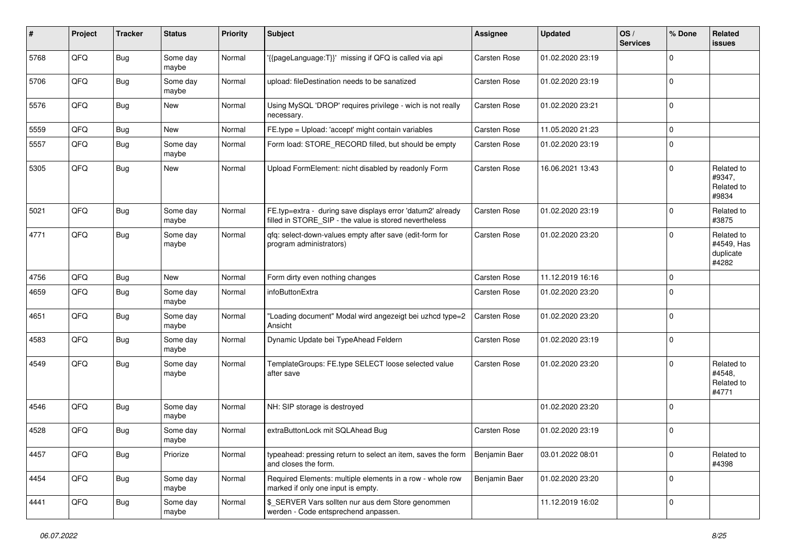| #    | Project | <b>Tracker</b> | <b>Status</b>     | <b>Priority</b> | <b>Subject</b>                                                                                                       | <b>Assignee</b>     | <b>Updated</b>   | OS/<br><b>Services</b> | % Done      | Related<br>issues                              |
|------|---------|----------------|-------------------|-----------------|----------------------------------------------------------------------------------------------------------------------|---------------------|------------------|------------------------|-------------|------------------------------------------------|
| 5768 | QFQ     | Bug            | Some day<br>maybe | Normal          | '{{pageLanguage:T}}' missing if QFQ is called via api                                                                | <b>Carsten Rose</b> | 01.02.2020 23:19 |                        | $\Omega$    |                                                |
| 5706 | QFQ     | Bug            | Some day<br>maybe | Normal          | upload: fileDestination needs to be sanatized                                                                        | Carsten Rose        | 01.02.2020 23:19 |                        | $\mathbf 0$ |                                                |
| 5576 | QFQ     | Bug            | New               | Normal          | Using MySQL 'DROP' requires privilege - wich is not really<br>necessary.                                             | Carsten Rose        | 01.02.2020 23:21 |                        | $\mathbf 0$ |                                                |
| 5559 | QFQ     | <b>Bug</b>     | New               | Normal          | FE.type = Upload: 'accept' might contain variables                                                                   | Carsten Rose        | 11.05.2020 21:23 |                        | 0           |                                                |
| 5557 | QFQ     | Bug            | Some day<br>maybe | Normal          | Form load: STORE_RECORD filled, but should be empty                                                                  | Carsten Rose        | 01.02.2020 23:19 |                        | $\Omega$    |                                                |
| 5305 | QFQ     | <b>Bug</b>     | New               | Normal          | Upload FormElement: nicht disabled by readonly Form                                                                  | Carsten Rose        | 16.06.2021 13:43 |                        | $\Omega$    | Related to<br>#9347,<br>Related to<br>#9834    |
| 5021 | QFQ     | Bug            | Some day<br>maybe | Normal          | FE.typ=extra - during save displays error 'datum2' already<br>filled in STORE_SIP - the value is stored nevertheless | Carsten Rose        | 01.02.2020 23:19 |                        | $\mathbf 0$ | Related to<br>#3875                            |
| 4771 | QFQ     | Bug            | Some day<br>maybe | Normal          | gfg: select-down-values empty after save (edit-form for<br>program administrators)                                   | <b>Carsten Rose</b> | 01.02.2020 23:20 |                        | $\Omega$    | Related to<br>#4549, Has<br>duplicate<br>#4282 |
| 4756 | QFQ     | Bug            | New               | Normal          | Form dirty even nothing changes                                                                                      | <b>Carsten Rose</b> | 11.12.2019 16:16 |                        | $\mathbf 0$ |                                                |
| 4659 | QFQ     | Bug            | Some day<br>maybe | Normal          | infoButtonExtra                                                                                                      | <b>Carsten Rose</b> | 01.02.2020 23:20 |                        | $\mathbf 0$ |                                                |
| 4651 | QFQ     | Bug            | Some day<br>maybe | Normal          | 'Loading document" Modal wird angezeigt bei uzhcd type=2<br>Ansicht                                                  | <b>Carsten Rose</b> | 01.02.2020 23:20 |                        | $\mathbf 0$ |                                                |
| 4583 | QFQ     | Bug            | Some day<br>maybe | Normal          | Dynamic Update bei TypeAhead Feldern                                                                                 | Carsten Rose        | 01.02.2020 23:19 |                        | $\mathbf 0$ |                                                |
| 4549 | QFQ     | Bug            | Some day<br>maybe | Normal          | TemplateGroups: FE.type SELECT loose selected value<br>after save                                                    | Carsten Rose        | 01.02.2020 23:20 |                        | $\Omega$    | Related to<br>#4548,<br>Related to<br>#4771    |
| 4546 | QFQ     | Bug            | Some day<br>maybe | Normal          | NH: SIP storage is destroyed                                                                                         |                     | 01.02.2020 23:20 |                        | $\mathbf 0$ |                                                |
| 4528 | QFQ     | <b>Bug</b>     | Some day<br>maybe | Normal          | extraButtonLock mit SQLAhead Bug                                                                                     | <b>Carsten Rose</b> | 01.02.2020 23:19 |                        | $\mathbf 0$ |                                                |
| 4457 | QFQ     | <b>Bug</b>     | Priorize          | Normal          | typeahead: pressing return to select an item, saves the form<br>and closes the form.                                 | Benjamin Baer       | 03.01.2022 08:01 |                        | $\mathbf 0$ | Related to<br>#4398                            |
| 4454 | QFQ     | Bug            | Some day<br>maybe | Normal          | Required Elements: multiple elements in a row - whole row<br>marked if only one input is empty.                      | Benjamin Baer       | 01.02.2020 23:20 |                        | $\mathbf 0$ |                                                |
| 4441 | QFQ     | <b>Bug</b>     | Some day<br>maybe | Normal          | \$_SERVER Vars sollten nur aus dem Store genommen<br>werden - Code entsprechend anpassen.                            |                     | 11.12.2019 16:02 |                        | $\mathbf 0$ |                                                |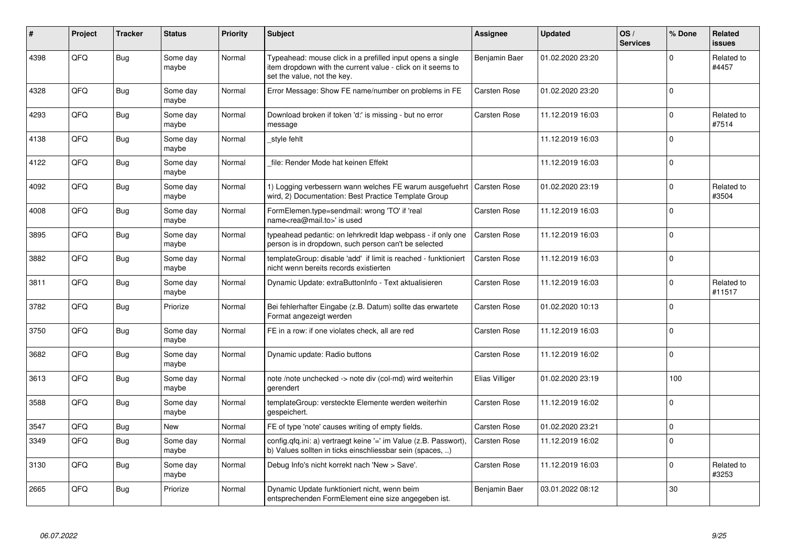| #    | Project | <b>Tracker</b> | <b>Status</b>     | <b>Priority</b> | <b>Subject</b>                                                                                                                                           | <b>Assignee</b>     | <b>Updated</b>   | OS/<br><b>Services</b> | % Done      | Related<br><b>issues</b> |
|------|---------|----------------|-------------------|-----------------|----------------------------------------------------------------------------------------------------------------------------------------------------------|---------------------|------------------|------------------------|-------------|--------------------------|
| 4398 | QFQ     | Bug            | Some day<br>maybe | Normal          | Typeahead: mouse click in a prefilled input opens a single<br>item dropdown with the current value - click on it seems to<br>set the value, not the key. | Benjamin Baer       | 01.02.2020 23:20 |                        | $\Omega$    | Related to<br>#4457      |
| 4328 | QFQ     | Bug            | Some day<br>maybe | Normal          | Error Message: Show FE name/number on problems in FE                                                                                                     | <b>Carsten Rose</b> | 01.02.2020 23:20 |                        | $\Omega$    |                          |
| 4293 | QFQ     | Bug            | Some day<br>maybe | Normal          | Download broken if token 'd:' is missing - but no error<br>message                                                                                       | Carsten Rose        | 11.12.2019 16:03 |                        | $\mathbf 0$ | Related to<br>#7514      |
| 4138 | QFQ     | Bug            | Some day<br>maybe | Normal          | _style fehlt                                                                                                                                             |                     | 11.12.2019 16:03 |                        | $\Omega$    |                          |
| 4122 | QFQ     | Bug            | Some day<br>maybe | Normal          | file: Render Mode hat keinen Effekt                                                                                                                      |                     | 11.12.2019 16:03 |                        | $\mathbf 0$ |                          |
| 4092 | QFQ     | Bug            | Some day<br>maybe | Normal          | 1) Logging verbessern wann welches FE warum ausgefuehrt   Carsten Rose<br>wird, 2) Documentation: Best Practice Template Group                           |                     | 01.02.2020 23:19 |                        | $\Omega$    | Related to<br>#3504      |
| 4008 | QFQ     | <b>Bug</b>     | Some day<br>maybe | Normal          | FormElemen.type=sendmail: wrong 'TO' if 'real<br>name <rea@mail.to>' is used</rea@mail.to>                                                               | Carsten Rose        | 11.12.2019 16:03 |                        | $\Omega$    |                          |
| 3895 | QFQ     | <b>Bug</b>     | Some day<br>maybe | Normal          | typeahead pedantic: on lehrkredit Idap webpass - if only one<br>person is in dropdown, such person can't be selected                                     | <b>Carsten Rose</b> | 11.12.2019 16:03 |                        | $\mathbf 0$ |                          |
| 3882 | QFQ     | <b>Bug</b>     | Some day<br>maybe | Normal          | templateGroup: disable 'add' if limit is reached - funktioniert<br>nicht wenn bereits records existierten                                                | Carsten Rose        | 11.12.2019 16:03 |                        | $\mathbf 0$ |                          |
| 3811 | QFQ     | <b>Bug</b>     | Some day<br>maybe | Normal          | Dynamic Update: extraButtonInfo - Text aktualisieren                                                                                                     | <b>Carsten Rose</b> | 11.12.2019 16:03 |                        | $\mathbf 0$ | Related to<br>#11517     |
| 3782 | QFQ     | Bug            | Priorize          | Normal          | Bei fehlerhafter Eingabe (z.B. Datum) sollte das erwartete<br>Format angezeigt werden                                                                    | <b>Carsten Rose</b> | 01.02.2020 10:13 |                        | $\mathbf 0$ |                          |
| 3750 | QFQ     | <b>Bug</b>     | Some day<br>maybe | Normal          | FE in a row: if one violates check, all are red                                                                                                          | Carsten Rose        | 11.12.2019 16:03 |                        | $\mathbf 0$ |                          |
| 3682 | QFQ     | <b>Bug</b>     | Some day<br>maybe | Normal          | Dynamic update: Radio buttons                                                                                                                            | <b>Carsten Rose</b> | 11.12.2019 16:02 |                        | $\mathbf 0$ |                          |
| 3613 | QFQ     | <b>Bug</b>     | Some day<br>maybe | Normal          | note /note unchecked -> note div (col-md) wird weiterhin<br>gerendert                                                                                    | Elias Villiger      | 01.02.2020 23:19 |                        | 100         |                          |
| 3588 | QFQ     | <b>Bug</b>     | Some day<br>maybe | Normal          | templateGroup: versteckte Elemente werden weiterhin<br>gespeichert.                                                                                      | <b>Carsten Rose</b> | 11.12.2019 16:02 |                        | $\Omega$    |                          |
| 3547 | QFQ     | <b>Bug</b>     | New               | Normal          | FE of type 'note' causes writing of empty fields.                                                                                                        | <b>Carsten Rose</b> | 01.02.2020 23:21 |                        | $\mathbf 0$ |                          |
| 3349 | QFQ     | <b>Bug</b>     | Some day<br>maybe | Normal          | config.qfq.ini: a) vertraegt keine '=' im Value (z.B. Passwort),<br>b) Values sollten in ticks einschliessbar sein (spaces, )                            | <b>Carsten Rose</b> | 11.12.2019 16:02 |                        | $\Omega$    |                          |
| 3130 | QFQ     | <b>Bug</b>     | Some day<br>maybe | Normal          | Debug Info's nicht korrekt nach 'New > Save'.                                                                                                            | <b>Carsten Rose</b> | 11.12.2019 16:03 |                        | $\mathbf 0$ | Related to<br>#3253      |
| 2665 | QFQ     | <b>Bug</b>     | Priorize          | Normal          | Dynamic Update funktioniert nicht, wenn beim<br>entsprechenden FormElement eine size angegeben ist.                                                      | Benjamin Baer       | 03.01.2022 08:12 |                        | 30          |                          |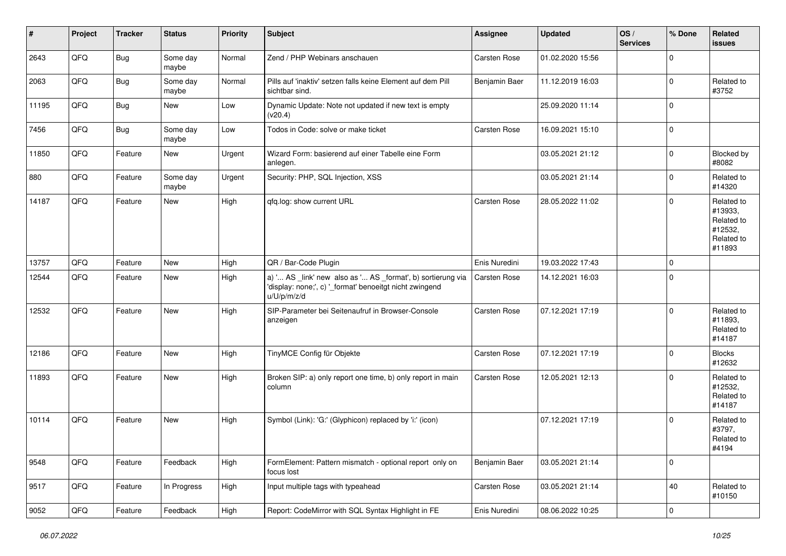| #     | Project | <b>Tracker</b> | <b>Status</b>     | <b>Priority</b> | <b>Subject</b>                                                                                                                        | Assignee            | <b>Updated</b>   | OS/<br><b>Services</b> | % Done       | Related<br><b>issues</b>                                               |
|-------|---------|----------------|-------------------|-----------------|---------------------------------------------------------------------------------------------------------------------------------------|---------------------|------------------|------------------------|--------------|------------------------------------------------------------------------|
| 2643  | QFQ     | Bug            | Some day<br>maybe | Normal          | Zend / PHP Webinars anschauen                                                                                                         | Carsten Rose        | 01.02.2020 15:56 |                        | $\mathbf 0$  |                                                                        |
| 2063  | QFQ     | Bug            | Some day<br>maybe | Normal          | Pills auf 'inaktiv' setzen falls keine Element auf dem Pill<br>sichtbar sind.                                                         | Benjamin Baer       | 11.12.2019 16:03 |                        | $\mathbf 0$  | Related to<br>#3752                                                    |
| 11195 | QFQ     | Bug            | New               | Low             | Dynamic Update: Note not updated if new text is empty<br>(v20.4)                                                                      |                     | 25.09.2020 11:14 |                        | $\mathbf 0$  |                                                                        |
| 7456  | QFQ     | <b>Bug</b>     | Some day<br>maybe | Low             | Todos in Code: solve or make ticket                                                                                                   | Carsten Rose        | 16.09.2021 15:10 |                        | $\mathbf 0$  |                                                                        |
| 11850 | QFQ     | Feature        | New               | Urgent          | Wizard Form: basierend auf einer Tabelle eine Form<br>anlegen.                                                                        |                     | 03.05.2021 21:12 |                        | $\mathbf 0$  | Blocked by<br>#8082                                                    |
| 880   | QFQ     | Feature        | Some day<br>maybe | Urgent          | Security: PHP, SQL Injection, XSS                                                                                                     |                     | 03.05.2021 21:14 |                        | $\mathbf{0}$ | Related to<br>#14320                                                   |
| 14187 | QFQ     | Feature        | New               | High            | qfq.log: show current URL                                                                                                             | <b>Carsten Rose</b> | 28.05.2022 11:02 |                        | $\mathbf 0$  | Related to<br>#13933,<br>Related to<br>#12532,<br>Related to<br>#11893 |
| 13757 | QFQ     | Feature        | New               | High            | QR / Bar-Code Plugin                                                                                                                  | Enis Nuredini       | 19.03.2022 17:43 |                        | $\mathbf 0$  |                                                                        |
| 12544 | QFQ     | Feature        | New               | High            | a) ' AS _link' new also as ' AS _format', b) sortierung via<br>'display: none;', c) '_format' benoeitgt nicht zwingend<br>u/U/p/m/z/d | Carsten Rose        | 14.12.2021 16:03 |                        | $\mathbf 0$  |                                                                        |
| 12532 | QFQ     | Feature        | New               | High            | SIP-Parameter bei Seitenaufruf in Browser-Console<br>anzeigen                                                                         | Carsten Rose        | 07.12.2021 17:19 |                        | $\mathbf 0$  | Related to<br>#11893,<br>Related to<br>#14187                          |
| 12186 | QFQ     | Feature        | New               | High            | TinyMCE Config für Objekte                                                                                                            | Carsten Rose        | 07.12.2021 17:19 |                        | $\mathbf 0$  | <b>Blocks</b><br>#12632                                                |
| 11893 | QFQ     | Feature        | <b>New</b>        | High            | Broken SIP: a) only report one time, b) only report in main<br>column                                                                 | Carsten Rose        | 12.05.2021 12:13 |                        | $\Omega$     | Related to<br>#12532,<br>Related to<br>#14187                          |
| 10114 | QFQ     | Feature        | <b>New</b>        | High            | Symbol (Link): 'G:' (Glyphicon) replaced by 'i:' (icon)                                                                               |                     | 07.12.2021 17:19 |                        | $\mathbf 0$  | Related to<br>#3797,<br>Related to<br>#4194                            |
| 9548  | QFQ     | Feature        | Feedback          | High            | FormElement: Pattern mismatch - optional report only on<br>focus lost                                                                 | Benjamin Baer       | 03.05.2021 21:14 |                        | $\mathbf 0$  |                                                                        |
| 9517  | QFQ     | Feature        | In Progress       | High            | Input multiple tags with typeahead                                                                                                    | Carsten Rose        | 03.05.2021 21:14 |                        | $40\,$       | Related to<br>#10150                                                   |
| 9052  | QFG     | Feature        | Feedback          | High            | Report: CodeMirror with SQL Syntax Highlight in FE                                                                                    | Enis Nuredini       | 08.06.2022 10:25 |                        | $\pmb{0}$    |                                                                        |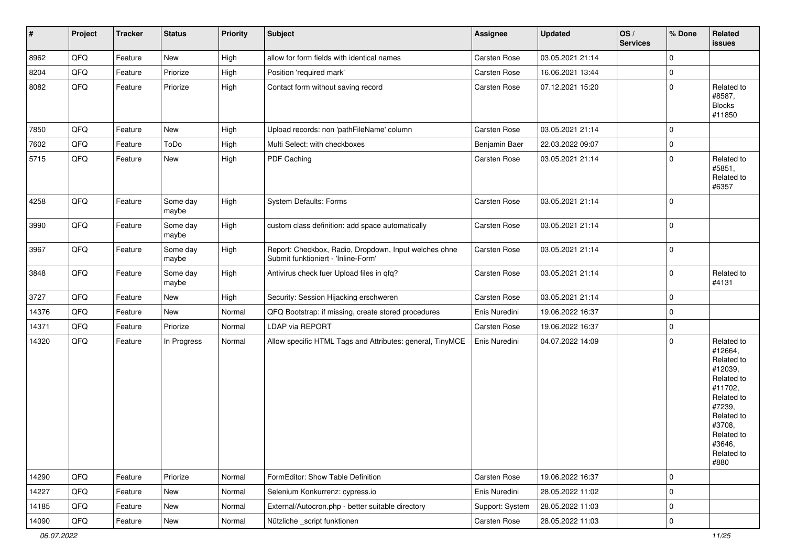| $\vert$ # | Project | <b>Tracker</b> | <b>Status</b>     | <b>Priority</b> | <b>Subject</b>                                                                               | Assignee        | <b>Updated</b>   | OS/<br><b>Services</b> | % Done      | Related<br>issues                                                                                                                                                     |
|-----------|---------|----------------|-------------------|-----------------|----------------------------------------------------------------------------------------------|-----------------|------------------|------------------------|-------------|-----------------------------------------------------------------------------------------------------------------------------------------------------------------------|
| 8962      | QFQ     | Feature        | New               | High            | allow for form fields with identical names                                                   | Carsten Rose    | 03.05.2021 21:14 |                        | $\mathbf 0$ |                                                                                                                                                                       |
| 8204      | QFQ     | Feature        | Priorize          | High            | Position 'required mark'                                                                     | Carsten Rose    | 16.06.2021 13:44 |                        | 0           |                                                                                                                                                                       |
| 8082      | QFQ     | Feature        | Priorize          | High            | Contact form without saving record                                                           | Carsten Rose    | 07.12.2021 15:20 |                        | $\Omega$    | Related to<br>#8587,<br><b>Blocks</b><br>#11850                                                                                                                       |
| 7850      | QFQ     | Feature        | <b>New</b>        | High            | Upload records: non 'pathFileName' column                                                    | Carsten Rose    | 03.05.2021 21:14 |                        | $\mathbf 0$ |                                                                                                                                                                       |
| 7602      | QFQ     | Feature        | ToDo              | High            | Multi Select: with checkboxes                                                                | Benjamin Baer   | 22.03.2022 09:07 |                        | $\Omega$    |                                                                                                                                                                       |
| 5715      | QFQ     | Feature        | New               | High            | PDF Caching                                                                                  | Carsten Rose    | 03.05.2021 21:14 |                        | $\Omega$    | Related to<br>#5851,<br>Related to<br>#6357                                                                                                                           |
| 4258      | QFQ     | Feature        | Some day<br>maybe | High            | System Defaults: Forms                                                                       | Carsten Rose    | 03.05.2021 21:14 |                        | $\Omega$    |                                                                                                                                                                       |
| 3990      | QFQ     | Feature        | Some day<br>maybe | High            | custom class definition: add space automatically                                             | Carsten Rose    | 03.05.2021 21:14 |                        | $\Omega$    |                                                                                                                                                                       |
| 3967      | QFQ     | Feature        | Some day<br>maybe | High            | Report: Checkbox, Radio, Dropdown, Input welches ohne<br>Submit funktioniert - 'Inline-Form' | Carsten Rose    | 03.05.2021 21:14 |                        | 0           |                                                                                                                                                                       |
| 3848      | QFQ     | Feature        | Some day<br>maybe | High            | Antivirus check fuer Upload files in qfq?                                                    | Carsten Rose    | 03.05.2021 21:14 |                        | 0           | Related to<br>#4131                                                                                                                                                   |
| 3727      | QFQ     | Feature        | <b>New</b>        | High            | Security: Session Hijacking erschweren                                                       | Carsten Rose    | 03.05.2021 21:14 |                        | 0           |                                                                                                                                                                       |
| 14376     | QFQ     | Feature        | New               | Normal          | QFQ Bootstrap: if missing, create stored procedures                                          | Enis Nuredini   | 19.06.2022 16:37 |                        | $\Omega$    |                                                                                                                                                                       |
| 14371     | QFQ     | Feature        | Priorize          | Normal          | LDAP via REPORT                                                                              | Carsten Rose    | 19.06.2022 16:37 |                        | $\Omega$    |                                                                                                                                                                       |
| 14320     | QFQ     | Feature        | In Progress       | Normal          | Allow specific HTML Tags and Attributes: general, TinyMCE                                    | Enis Nuredini   | 04.07.2022 14:09 |                        | $\Omega$    | Related to<br>#12664,<br>Related to<br>#12039,<br>Related to<br>#11702,<br>Related to<br>#7239,<br>Related to<br>#3708,<br>Related to<br>#3646,<br>Related to<br>#880 |
| 14290     | QFQ     | Feature        | Priorize          | Normal          | FormEditor: Show Table Definition                                                            | Carsten Rose    | 19.06.2022 16:37 |                        | $\mathbf 0$ |                                                                                                                                                                       |
| 14227     | QFQ     | Feature        | New               | Normal          | Selenium Konkurrenz: cypress.io                                                              | Enis Nuredini   | 28.05.2022 11:02 |                        | 0           |                                                                                                                                                                       |
| 14185     | QFQ     | Feature        | New               | Normal          | External/Autocron.php - better suitable directory                                            | Support: System | 28.05.2022 11:03 |                        | 0           |                                                                                                                                                                       |
| 14090     | QFQ     | Feature        | New               | Normal          | Nützliche _script funktionen                                                                 | Carsten Rose    | 28.05.2022 11:03 |                        | $\pmb{0}$   |                                                                                                                                                                       |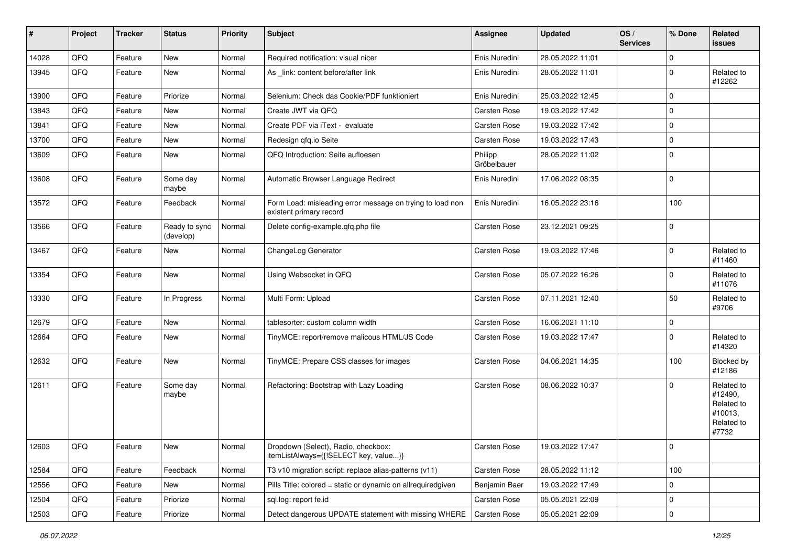| #     | Project | <b>Tracker</b> | <b>Status</b>              | <b>Priority</b> | <b>Subject</b>                                                                       | <b>Assignee</b>        | <b>Updated</b>   | OS/<br><b>Services</b> | % Done              | Related<br><b>issues</b>                                              |
|-------|---------|----------------|----------------------------|-----------------|--------------------------------------------------------------------------------------|------------------------|------------------|------------------------|---------------------|-----------------------------------------------------------------------|
| 14028 | QFQ     | Feature        | New                        | Normal          | Required notification: visual nicer                                                  | Enis Nuredini          | 28.05.2022 11:01 |                        | $\mathbf 0$         |                                                                       |
| 13945 | QFQ     | Feature        | New                        | Normal          | As link: content before/after link                                                   | Enis Nuredini          | 28.05.2022 11:01 |                        | $\mathbf 0$         | Related to<br>#12262                                                  |
| 13900 | QFQ     | Feature        | Priorize                   | Normal          | Selenium: Check das Cookie/PDF funktioniert                                          | Enis Nuredini          | 25.03.2022 12:45 |                        | $\mathbf 0$         |                                                                       |
| 13843 | QFQ     | Feature        | New                        | Normal          | Create JWT via QFQ                                                                   | Carsten Rose           | 19.03.2022 17:42 |                        | $\mathbf 0$         |                                                                       |
| 13841 | QFQ     | Feature        | New                        | Normal          | Create PDF via iText - evaluate                                                      | Carsten Rose           | 19.03.2022 17:42 |                        | $\mathbf 0$         |                                                                       |
| 13700 | QFQ     | Feature        | New                        | Normal          | Redesign gfg.io Seite                                                                | Carsten Rose           | 19.03.2022 17:43 |                        | $\mathbf 0$         |                                                                       |
| 13609 | QFQ     | Feature        | New                        | Normal          | QFQ Introduction: Seite aufloesen                                                    | Philipp<br>Gröbelbauer | 28.05.2022 11:02 |                        | $\mathbf 0$         |                                                                       |
| 13608 | QFQ     | Feature        | Some day<br>maybe          | Normal          | Automatic Browser Language Redirect                                                  | Enis Nuredini          | 17.06.2022 08:35 |                        | $\mathbf 0$         |                                                                       |
| 13572 | QFQ     | Feature        | Feedback                   | Normal          | Form Load: misleading error message on trying to load non<br>existent primary record | Enis Nuredini          | 16.05.2022 23:16 |                        | 100                 |                                                                       |
| 13566 | QFQ     | Feature        | Ready to sync<br>(develop) | Normal          | Delete config-example.qfq.php file                                                   | Carsten Rose           | 23.12.2021 09:25 |                        | $\mathbf 0$         |                                                                       |
| 13467 | QFQ     | Feature        | New                        | Normal          | ChangeLog Generator                                                                  | <b>Carsten Rose</b>    | 19.03.2022 17:46 |                        | 0                   | Related to<br>#11460                                                  |
| 13354 | QFQ     | Feature        | New                        | Normal          | Using Websocket in QFQ                                                               | Carsten Rose           | 05.07.2022 16:26 |                        | 0                   | Related to<br>#11076                                                  |
| 13330 | QFQ     | Feature        | In Progress                | Normal          | Multi Form: Upload                                                                   | <b>Carsten Rose</b>    | 07.11.2021 12:40 |                        | 50                  | Related to<br>#9706                                                   |
| 12679 | QFQ     | Feature        | New                        | Normal          | tablesorter: custom column width                                                     | Carsten Rose           | 16.06.2021 11:10 |                        | $\mathbf 0$         |                                                                       |
| 12664 | QFQ     | Feature        | New                        | Normal          | TinyMCE: report/remove malicous HTML/JS Code                                         | Carsten Rose           | 19.03.2022 17:47 |                        | $\mathbf 0$         | Related to<br>#14320                                                  |
| 12632 | QFQ     | Feature        | New                        | Normal          | TinyMCE: Prepare CSS classes for images                                              | Carsten Rose           | 04.06.2021 14:35 |                        | 100                 | Blocked by<br>#12186                                                  |
| 12611 | QFQ     | Feature        | Some day<br>maybe          | Normal          | Refactoring: Bootstrap with Lazy Loading                                             | <b>Carsten Rose</b>    | 08.06.2022 10:37 |                        | $\mathbf 0$         | Related to<br>#12490,<br>Related to<br>#10013,<br>Related to<br>#7732 |
| 12603 | QFG     | Feature        | New                        | Normal          | Dropdown (Select), Radio, checkbox:<br>itemListAlways={{!SELECT key, value}}         | Carsten Rose           | 19.03.2022 17:47 |                        | $\mathbf{0}$        |                                                                       |
| 12584 | QFQ     | Feature        | Feedback                   | Normal          | T3 v10 migration script: replace alias-patterns (v11)                                | Carsten Rose           | 28.05.2022 11:12 |                        | 100                 |                                                                       |
| 12556 | QFQ     | Feature        | New                        | Normal          | Pills Title: colored = static or dynamic on allrequiredgiven                         | Benjamin Baer          | 19.03.2022 17:49 |                        | 0                   |                                                                       |
| 12504 | QFQ     | Feature        | Priorize                   | Normal          | sql.log: report fe.id                                                                | Carsten Rose           | 05.05.2021 22:09 |                        | $\pmb{0}$           |                                                                       |
| 12503 | QFQ     | Feature        | Priorize                   | Normal          | Detect dangerous UPDATE statement with missing WHERE                                 | Carsten Rose           | 05.05.2021 22:09 |                        | $\mathsf{O}\xspace$ |                                                                       |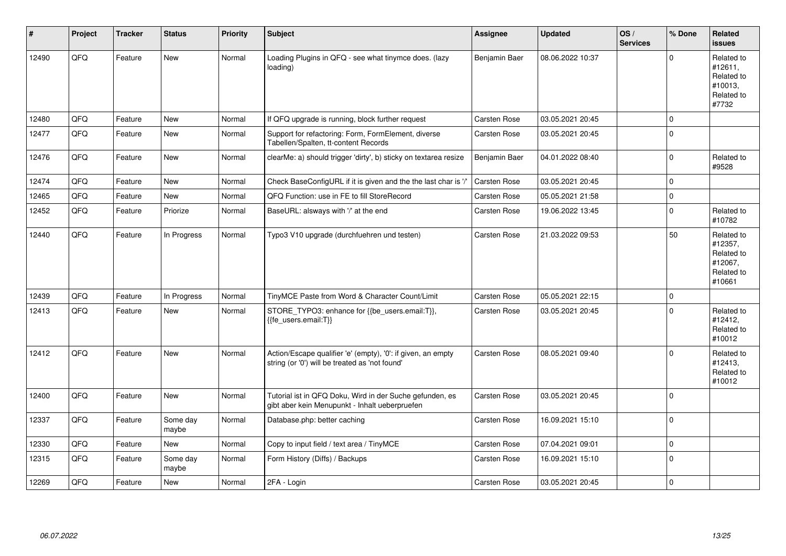| #     | Project | <b>Tracker</b> | <b>Status</b>     | <b>Priority</b> | <b>Subject</b>                                                                                                 | Assignee            | <b>Updated</b>   | OS/<br><b>Services</b> | % Done      | Related<br><b>issues</b>                                               |
|-------|---------|----------------|-------------------|-----------------|----------------------------------------------------------------------------------------------------------------|---------------------|------------------|------------------------|-------------|------------------------------------------------------------------------|
| 12490 | QFQ     | Feature        | <b>New</b>        | Normal          | Loading Plugins in QFQ - see what tinymce does. (lazy<br>loading)                                              | Benjamin Baer       | 08.06.2022 10:37 |                        | $\Omega$    | Related to<br>#12611,<br>Related to<br>#10013.<br>Related to<br>#7732  |
| 12480 | QFQ     | Feature        | <b>New</b>        | Normal          | If QFQ upgrade is running, block further request                                                               | Carsten Rose        | 03.05.2021 20:45 |                        | $\mathbf 0$ |                                                                        |
| 12477 | QFQ     | Feature        | <b>New</b>        | Normal          | Support for refactoring: Form, FormElement, diverse<br>Tabellen/Spalten, tt-content Records                    | <b>Carsten Rose</b> | 03.05.2021 20:45 |                        | $\mathbf 0$ |                                                                        |
| 12476 | QFQ     | Feature        | <b>New</b>        | Normal          | clearMe: a) should trigger 'dirty', b) sticky on textarea resize                                               | Benjamin Baer       | 04.01.2022 08:40 |                        | $\Omega$    | Related to<br>#9528                                                    |
| 12474 | QFQ     | Feature        | <b>New</b>        | Normal          | Check BaseConfigURL if it is given and the the last char is '/'                                                | Carsten Rose        | 03.05.2021 20:45 |                        | $\Omega$    |                                                                        |
| 12465 | QFQ     | Feature        | <b>New</b>        | Normal          | QFQ Function: use in FE to fill StoreRecord                                                                    | <b>Carsten Rose</b> | 05.05.2021 21:58 |                        | $\mathbf 0$ |                                                                        |
| 12452 | QFQ     | Feature        | Priorize          | Normal          | BaseURL: alsways with '/' at the end                                                                           | <b>Carsten Rose</b> | 19.06.2022 13:45 |                        | $\Omega$    | Related to<br>#10782                                                   |
| 12440 | QFQ     | Feature        | In Progress       | Normal          | Typo3 V10 upgrade (durchfuehren und testen)                                                                    | <b>Carsten Rose</b> | 21.03.2022 09:53 |                        | 50          | Related to<br>#12357,<br>Related to<br>#12067.<br>Related to<br>#10661 |
| 12439 | QFQ     | Feature        | In Progress       | Normal          | TinyMCE Paste from Word & Character Count/Limit                                                                | <b>Carsten Rose</b> | 05.05.2021 22:15 |                        | $\mathbf 0$ |                                                                        |
| 12413 | QFQ     | Feature        | <b>New</b>        | Normal          | STORE_TYPO3: enhance for {{be_users.email:T}},<br>{{fe users.email:T}}                                         | <b>Carsten Rose</b> | 03.05.2021 20:45 |                        | $\Omega$    | Related to<br>#12412,<br>Related to<br>#10012                          |
| 12412 | QFQ     | Feature        | New               | Normal          | Action/Escape qualifier 'e' (empty), '0': if given, an empty<br>string (or '0') will be treated as 'not found' | Carsten Rose        | 08.05.2021 09:40 |                        | $\Omega$    | Related to<br>#12413,<br>Related to<br>#10012                          |
| 12400 | QFQ     | Feature        | <b>New</b>        | Normal          | Tutorial ist in QFQ Doku, Wird in der Suche gefunden, es<br>gibt aber kein Menupunkt - Inhalt ueberpruefen     | <b>Carsten Rose</b> | 03.05.2021 20:45 |                        | $\mathbf 0$ |                                                                        |
| 12337 | QFQ     | Feature        | Some day<br>maybe | Normal          | Database.php: better caching                                                                                   | <b>Carsten Rose</b> | 16.09.2021 15:10 |                        | $\mathbf 0$ |                                                                        |
| 12330 | QFQ     | Feature        | <b>New</b>        | Normal          | Copy to input field / text area / TinyMCE                                                                      | <b>Carsten Rose</b> | 07.04.2021 09:01 |                        | $\mathbf 0$ |                                                                        |
| 12315 | QFQ     | Feature        | Some day<br>maybe | Normal          | Form History (Diffs) / Backups                                                                                 | Carsten Rose        | 16.09.2021 15:10 |                        | $\Omega$    |                                                                        |
| 12269 | QFQ     | Feature        | <b>New</b>        | Normal          | 2FA - Login                                                                                                    | <b>Carsten Rose</b> | 03.05.2021 20:45 |                        | $\mathbf 0$ |                                                                        |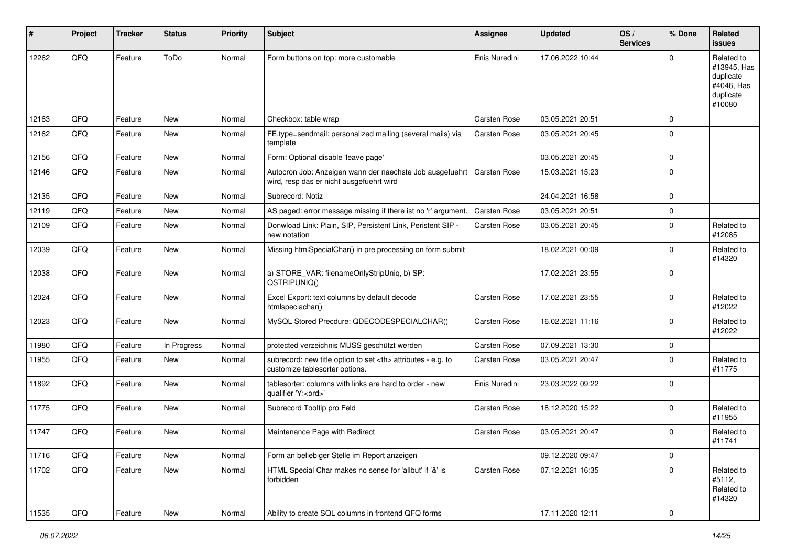| $\sharp$ | Project | <b>Tracker</b> | <b>Status</b> | <b>Priority</b> | <b>Subject</b>                                                                                       | <b>Assignee</b>                                        | <b>Updated</b>   | OS/<br><b>Services</b> | % Done      | Related<br><b>issues</b>                                                    |                      |
|----------|---------|----------------|---------------|-----------------|------------------------------------------------------------------------------------------------------|--------------------------------------------------------|------------------|------------------------|-------------|-----------------------------------------------------------------------------|----------------------|
| 12262    | QFQ     | Feature        | ToDo          | Normal          | Form buttons on top: more customable                                                                 | Enis Nuredini                                          | 17.06.2022 10:44 |                        | $\Omega$    | Related to<br>#13945, Has<br>duplicate<br>#4046, Has<br>duplicate<br>#10080 |                      |
| 12163    | QFQ     | Feature        | <b>New</b>    | Normal          | Checkbox: table wrap                                                                                 | <b>Carsten Rose</b>                                    | 03.05.2021 20:51 |                        | $\mathbf 0$ |                                                                             |                      |
| 12162    | QFQ     | Feature        | New           | Normal          | FE.type=sendmail: personalized mailing (several mails) via<br>template                               | Carsten Rose                                           | 03.05.2021 20:45 |                        | $\mathbf 0$ |                                                                             |                      |
| 12156    | QFQ     | Feature        | <b>New</b>    | Normal          | Form: Optional disable 'leave page'                                                                  |                                                        | 03.05.2021 20:45 |                        | $\mathbf 0$ |                                                                             |                      |
| 12146    | QFQ     | Feature        | New           | Normal          | Autocron Job: Anzeigen wann der naechste Job ausgefuehrt<br>wird, resp das er nicht ausgefuehrt wird | Carsten Rose                                           | 15.03.2021 15:23 |                        | $\mathbf 0$ |                                                                             |                      |
| 12135    | QFQ     | Feature        | <b>New</b>    | Normal          | Subrecord: Notiz                                                                                     |                                                        | 24.04.2021 16:58 |                        | $\mathbf 0$ |                                                                             |                      |
| 12119    | QFQ     | Feature        | New           | Normal          | AS paged: error message missing if there ist no 'r' argument.                                        | Carsten Rose                                           | 03.05.2021 20:51 |                        | $\mathbf 0$ |                                                                             |                      |
| 12109    | QFQ     | Feature        | <b>New</b>    | Normal          | Donwload Link: Plain, SIP, Persistent Link, Peristent SIP -<br>new notation                          | Carsten Rose                                           | 03.05.2021 20:45 |                        | $\mathbf 0$ | Related to<br>#12085                                                        |                      |
| 12039    | QFQ     | Feature        | New           | Normal          | Missing htmlSpecialChar() in pre processing on form submit                                           |                                                        | 18.02.2021 00:09 |                        | $\mathbf 0$ | Related to<br>#14320                                                        |                      |
| 12038    | QFQ     | Feature        | <b>New</b>    | Normal          | a) STORE_VAR: filenameOnlyStripUniq, b) SP:<br>QSTRIPUNIQ()                                          |                                                        | 17.02.2021 23:55 |                        | $\mathbf 0$ |                                                                             |                      |
| 12024    | QFQ     | Feature        | <b>New</b>    | Normal          | Excel Export: text columns by default decode<br>htmlspeciachar()                                     | Carsten Rose                                           | 17.02.2021 23:55 |                        | $\mathbf 0$ | Related to<br>#12022                                                        |                      |
| 12023    | QFQ     | Feature        | <b>New</b>    | Normal          | MySQL Stored Precdure: QDECODESPECIALCHAR()                                                          | Carsten Rose                                           | 16.02.2021 11:16 |                        | $\mathbf 0$ | Related to<br>#12022                                                        |                      |
| 11980    | QFQ     | Feature        | In Progress   | Normal          | protected verzeichnis MUSS geschützt werden                                                          | Carsten Rose                                           | 07.09.2021 13:30 |                        | $\mathbf 0$ |                                                                             |                      |
| 11955    | QFQ     | Feature        | New           | Normal          | subrecord: new title option to set <th> attributes - e.g. to<br/>customize tablesorter options.</th> | attributes - e.g. to<br>customize tablesorter options. | Carsten Rose     | 03.05.2021 20:47       |             | $\mathbf 0$                                                                 | Related to<br>#11775 |
| 11892    | QFQ     | Feature        | New           | Normal          | tablesorter: columns with links are hard to order - new<br>qualifier 'Y: <ord>'</ord>                | Enis Nuredini                                          | 23.03.2022 09:22 |                        | $\mathbf 0$ |                                                                             |                      |
| 11775    | QFQ     | Feature        | <b>New</b>    | Normal          | Subrecord Tooltip pro Feld                                                                           | Carsten Rose                                           | 18.12.2020 15:22 |                        | $\mathbf 0$ | Related to<br>#11955                                                        |                      |
| 11747    | QFQ     | Feature        | <b>New</b>    | Normal          | Maintenance Page with Redirect                                                                       | Carsten Rose                                           | 03.05.2021 20:47 |                        | $\mathbf 0$ | Related to<br>#11741                                                        |                      |
| 11716    | QFQ     | Feature        | New           | Normal          | Form an beliebiger Stelle im Report anzeigen                                                         |                                                        | 09.12.2020 09:47 |                        | $\mathbf 0$ |                                                                             |                      |
| 11702    | QFQ     | Feature        | New           | Normal          | HTML Special Char makes no sense for 'allbut' if '&' is<br>forbidden                                 | Carsten Rose                                           | 07.12.2021 16:35 |                        | $\pmb{0}$   | Related to<br>#5112,<br>Related to<br>#14320                                |                      |
| 11535    | QFG     | Feature        | New           | Normal          | Ability to create SQL columns in frontend QFQ forms                                                  |                                                        | 17.11.2020 12:11 |                        | $\mathbf 0$ |                                                                             |                      |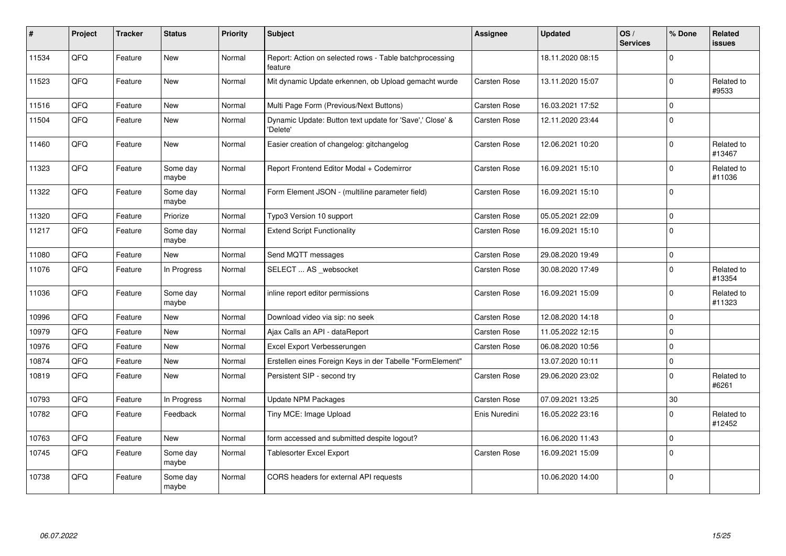| #     | Project | <b>Tracker</b> | <b>Status</b>     | <b>Priority</b> | <b>Subject</b>                                                       | <b>Assignee</b>     | <b>Updated</b>   | OS/<br><b>Services</b> | % Done      | <b>Related</b><br><b>issues</b> |
|-------|---------|----------------|-------------------|-----------------|----------------------------------------------------------------------|---------------------|------------------|------------------------|-------------|---------------------------------|
| 11534 | QFQ     | Feature        | <b>New</b>        | Normal          | Report: Action on selected rows - Table batchprocessing<br>feature   |                     | 18.11.2020 08:15 |                        | $\Omega$    |                                 |
| 11523 | QFQ     | Feature        | <b>New</b>        | Normal          | Mit dynamic Update erkennen, ob Upload gemacht wurde                 | Carsten Rose        | 13.11.2020 15:07 |                        | $\Omega$    | Related to<br>#9533             |
| 11516 | QFQ     | Feature        | <b>New</b>        | Normal          | Multi Page Form (Previous/Next Buttons)                              | <b>Carsten Rose</b> | 16.03.2021 17:52 |                        | $\mathbf 0$ |                                 |
| 11504 | QFQ     | Feature        | <b>New</b>        | Normal          | Dynamic Update: Button text update for 'Save',' Close' &<br>'Delete' | Carsten Rose        | 12.11.2020 23:44 |                        | $\Omega$    |                                 |
| 11460 | QFQ     | Feature        | <b>New</b>        | Normal          | Easier creation of changelog: gitchangelog                           | Carsten Rose        | 12.06.2021 10:20 |                        | $\mathbf 0$ | Related to<br>#13467            |
| 11323 | QFQ     | Feature        | Some day<br>maybe | Normal          | Report Frontend Editor Modal + Codemirror                            | <b>Carsten Rose</b> | 16.09.2021 15:10 |                        | $\mathbf 0$ | Related to<br>#11036            |
| 11322 | QFQ     | Feature        | Some day<br>maybe | Normal          | Form Element JSON - (multiline parameter field)                      | Carsten Rose        | 16.09.2021 15:10 |                        | $\mathbf 0$ |                                 |
| 11320 | QFQ     | Feature        | Priorize          | Normal          | Typo3 Version 10 support                                             | Carsten Rose        | 05.05.2021 22:09 |                        | $\Omega$    |                                 |
| 11217 | QFQ     | Feature        | Some day<br>maybe | Normal          | <b>Extend Script Functionality</b>                                   | <b>Carsten Rose</b> | 16.09.2021 15:10 |                        | $\Omega$    |                                 |
| 11080 | QFQ     | Feature        | <b>New</b>        | Normal          | Send MQTT messages                                                   | Carsten Rose        | 29.08.2020 19:49 |                        | $\mathbf 0$ |                                 |
| 11076 | QFQ     | Feature        | In Progress       | Normal          | SELECT  AS _websocket                                                | <b>Carsten Rose</b> | 30.08.2020 17:49 |                        | $\mathbf 0$ | Related to<br>#13354            |
| 11036 | QFQ     | Feature        | Some day<br>maybe | Normal          | inline report editor permissions                                     | <b>Carsten Rose</b> | 16.09.2021 15:09 |                        | $\Omega$    | Related to<br>#11323            |
| 10996 | QFQ     | Feature        | <b>New</b>        | Normal          | Download video via sip: no seek                                      | Carsten Rose        | 12.08.2020 14:18 |                        | $\mathbf 0$ |                                 |
| 10979 | QFQ     | Feature        | <b>New</b>        | Normal          | Ajax Calls an API - dataReport                                       | Carsten Rose        | 11.05.2022 12:15 |                        | $\mathbf 0$ |                                 |
| 10976 | QFQ     | Feature        | <b>New</b>        | Normal          | Excel Export Verbesserungen                                          | Carsten Rose        | 06.08.2020 10:56 |                        | $\mathbf 0$ |                                 |
| 10874 | QFQ     | Feature        | <b>New</b>        | Normal          | Erstellen eines Foreign Keys in der Tabelle "FormElement"            |                     | 13.07.2020 10:11 |                        | $\mathbf 0$ |                                 |
| 10819 | QFQ     | Feature        | <b>New</b>        | Normal          | Persistent SIP - second try                                          | Carsten Rose        | 29.06.2020 23:02 |                        | $\mathbf 0$ | Related to<br>#6261             |
| 10793 | QFQ     | Feature        | In Progress       | Normal          | Update NPM Packages                                                  | <b>Carsten Rose</b> | 07.09.2021 13:25 |                        | 30          |                                 |
| 10782 | QFQ     | Feature        | Feedback          | Normal          | Tiny MCE: Image Upload                                               | Enis Nuredini       | 16.05.2022 23:16 |                        | $\mathbf 0$ | Related to<br>#12452            |
| 10763 | QFQ     | Feature        | <b>New</b>        | Normal          | form accessed and submitted despite logout?                          |                     | 16.06.2020 11:43 |                        | $\mathbf 0$ |                                 |
| 10745 | QFQ     | Feature        | Some day<br>maybe | Normal          | Tablesorter Excel Export                                             | Carsten Rose        | 16.09.2021 15:09 |                        | $\Omega$    |                                 |
| 10738 | QFQ     | Feature        | Some day<br>maybe | Normal          | CORS headers for external API requests                               |                     | 10.06.2020 14:00 |                        | $\mathbf 0$ |                                 |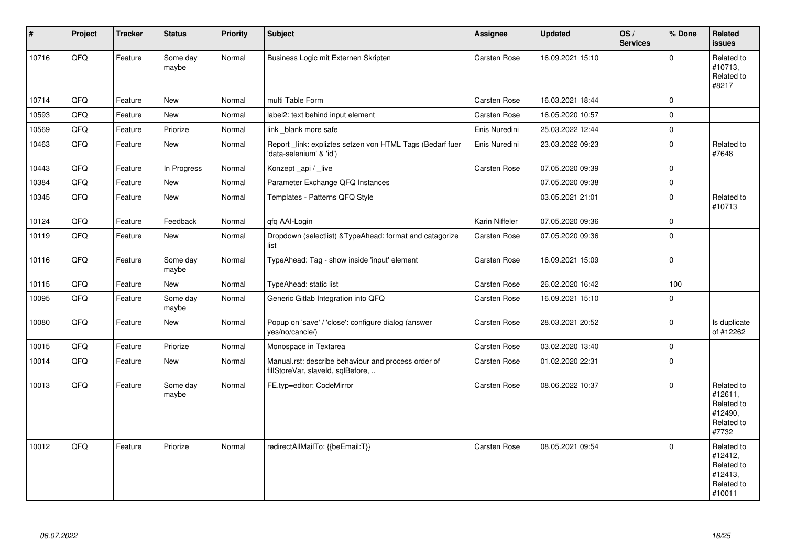| #     | Project | <b>Tracker</b> | <b>Status</b>     | Priority | <b>Subject</b>                                                                           | <b>Assignee</b>     | <b>Updated</b>   | OS/<br><b>Services</b> | % Done      | Related<br>issues                                                      |
|-------|---------|----------------|-------------------|----------|------------------------------------------------------------------------------------------|---------------------|------------------|------------------------|-------------|------------------------------------------------------------------------|
| 10716 | QFQ     | Feature        | Some day<br>maybe | Normal   | Business Logic mit Externen Skripten                                                     | Carsten Rose        | 16.09.2021 15:10 |                        | $\Omega$    | Related to<br>#10713,<br>Related to<br>#8217                           |
| 10714 | QFQ     | Feature        | <b>New</b>        | Normal   | multi Table Form                                                                         | Carsten Rose        | 16.03.2021 18:44 |                        | $\Omega$    |                                                                        |
| 10593 | QFQ     | Feature        | <b>New</b>        | Normal   | label2: text behind input element                                                        | Carsten Rose        | 16.05.2020 10:57 |                        | $\Omega$    |                                                                        |
| 10569 | QFQ     | Feature        | Priorize          | Normal   | link blank more safe                                                                     | Enis Nuredini       | 25.03.2022 12:44 |                        | $\mathbf 0$ |                                                                        |
| 10463 | QFQ     | Feature        | <b>New</b>        | Normal   | Report _link: expliztes setzen von HTML Tags (Bedarf fuer<br>'data-selenium' & 'id')     | Enis Nuredini       | 23.03.2022 09:23 |                        | $\Omega$    | Related to<br>#7648                                                    |
| 10443 | QFQ     | Feature        | In Progress       | Normal   | Konzept_api / _live                                                                      | Carsten Rose        | 07.05.2020 09:39 |                        | $\mathbf 0$ |                                                                        |
| 10384 | QFQ     | Feature        | <b>New</b>        | Normal   | Parameter Exchange QFQ Instances                                                         |                     | 07.05.2020 09:38 |                        | $\mathbf 0$ |                                                                        |
| 10345 | QFQ     | Feature        | <b>New</b>        | Normal   | Templates - Patterns QFQ Style                                                           |                     | 03.05.2021 21:01 |                        | $\Omega$    | Related to<br>#10713                                                   |
| 10124 | QFQ     | Feature        | Feedback          | Normal   | qfq AAI-Login                                                                            | Karin Niffeler      | 07.05.2020 09:36 |                        | $\mathbf 0$ |                                                                        |
| 10119 | QFQ     | Feature        | <b>New</b>        | Normal   | Dropdown (selectlist) & TypeAhead: format and catagorize<br>list                         | Carsten Rose        | 07.05.2020 09:36 |                        | $\Omega$    |                                                                        |
| 10116 | QFQ     | Feature        | Some day<br>maybe | Normal   | TypeAhead: Tag - show inside 'input' element                                             | Carsten Rose        | 16.09.2021 15:09 |                        | $\mathbf 0$ |                                                                        |
| 10115 | QFQ     | Feature        | <b>New</b>        | Normal   | TypeAhead: static list                                                                   | Carsten Rose        | 26.02.2020 16:42 |                        | 100         |                                                                        |
| 10095 | QFQ     | Feature        | Some day<br>maybe | Normal   | Generic Gitlab Integration into QFQ                                                      | Carsten Rose        | 16.09.2021 15:10 |                        | $\Omega$    |                                                                        |
| 10080 | QFQ     | Feature        | New               | Normal   | Popup on 'save' / 'close': configure dialog (answer<br>yes/no/cancle/)                   | Carsten Rose        | 28.03.2021 20:52 |                        | $\Omega$    | Is duplicate<br>of #12262                                              |
| 10015 | QFQ     | Feature        | Priorize          | Normal   | Monospace in Textarea                                                                    | Carsten Rose        | 03.02.2020 13:40 |                        | $\mathbf 0$ |                                                                        |
| 10014 | QFQ     | Feature        | <b>New</b>        | Normal   | Manual.rst: describe behaviour and process order of<br>fillStoreVar, slaveId, sqlBefore, | <b>Carsten Rose</b> | 01.02.2020 22:31 |                        | $\Omega$    |                                                                        |
| 10013 | QFQ     | Feature        | Some day<br>maybe | Normal   | FE.typ=editor: CodeMirror                                                                | <b>Carsten Rose</b> | 08.06.2022 10:37 |                        | $\Omega$    | Related to<br>#12611.<br>Related to<br>#12490,<br>Related to<br>#7732  |
| 10012 | QFQ     | Feature        | Priorize          | Normal   | redirectAllMailTo: {{beEmail:T}}                                                         | <b>Carsten Rose</b> | 08.05.2021 09:54 |                        | $\Omega$    | Related to<br>#12412,<br>Related to<br>#12413,<br>Related to<br>#10011 |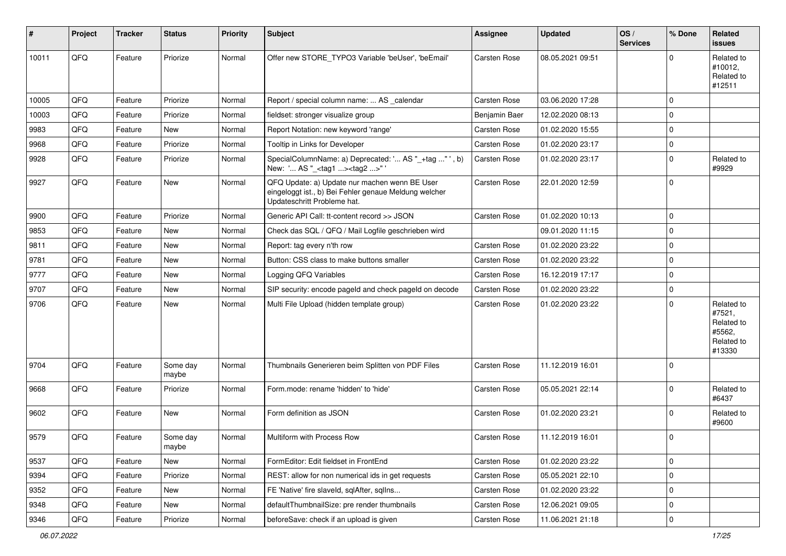| #     | <b>Project</b> | <b>Tracker</b> | <b>Status</b>     | <b>Priority</b> | <b>Subject</b>                                                                                                                        | <b>Assignee</b>     | <b>Updated</b>   | OS/<br><b>Services</b> | % Done      | <b>Related</b><br>issues                                             |
|-------|----------------|----------------|-------------------|-----------------|---------------------------------------------------------------------------------------------------------------------------------------|---------------------|------------------|------------------------|-------------|----------------------------------------------------------------------|
| 10011 | QFQ            | Feature        | Priorize          | Normal          | Offer new STORE TYPO3 Variable 'beUser', 'beEmail'                                                                                    | <b>Carsten Rose</b> | 08.05.2021 09:51 |                        | $\Omega$    | Related to<br>#10012,<br>Related to<br>#12511                        |
| 10005 | QFQ            | Feature        | Priorize          | Normal          | Report / special column name:  AS _calendar                                                                                           | <b>Carsten Rose</b> | 03.06.2020 17:28 |                        | $\Omega$    |                                                                      |
| 10003 | QFQ            | Feature        | Priorize          | Normal          | fieldset: stronger visualize group                                                                                                    | Benjamin Baer       | 12.02.2020 08:13 |                        | $\mathbf 0$ |                                                                      |
| 9983  | QFQ            | Feature        | New               | Normal          | Report Notation: new keyword 'range'                                                                                                  | Carsten Rose        | 01.02.2020 15:55 |                        | $\Omega$    |                                                                      |
| 9968  | QFQ            | Feature        | Priorize          | Normal          | Tooltip in Links for Developer                                                                                                        | Carsten Rose        | 01.02.2020 23:17 |                        | $\Omega$    |                                                                      |
| 9928  | QFQ            | Feature        | Priorize          | Normal          | SpecialColumnName: a) Deprecated: ' AS "_+tag " ', b)<br>New: ' AS "_ <tag1><tag2>"'</tag2></tag1>                                    | <b>Carsten Rose</b> | 01.02.2020 23:17 |                        | $\mathbf 0$ | Related to<br>#9929                                                  |
| 9927  | QFQ            | Feature        | New               | Normal          | QFQ Update: a) Update nur machen wenn BE User<br>eingeloggt ist., b) Bei Fehler genaue Meldung welcher<br>Updateschritt Probleme hat. | <b>Carsten Rose</b> | 22.01.2020 12:59 |                        | $\Omega$    |                                                                      |
| 9900  | QFQ            | Feature        | Priorize          | Normal          | Generic API Call: tt-content record >> JSON                                                                                           | <b>Carsten Rose</b> | 01.02.2020 10:13 |                        | $\Omega$    |                                                                      |
| 9853  | QFQ            | Feature        | New               | Normal          | Check das SQL / QFQ / Mail Logfile geschrieben wird                                                                                   |                     | 09.01.2020 11:15 |                        | $\Omega$    |                                                                      |
| 9811  | QFQ            | Feature        | New               | Normal          | Report: tag every n'th row                                                                                                            | <b>Carsten Rose</b> | 01.02.2020 23:22 |                        | $\Omega$    |                                                                      |
| 9781  | QFQ            | Feature        | New               | Normal          | Button: CSS class to make buttons smaller                                                                                             | <b>Carsten Rose</b> | 01.02.2020 23:22 |                        | $\mathbf 0$ |                                                                      |
| 9777  | QFQ            | Feature        | New               | Normal          | Logging QFQ Variables                                                                                                                 | Carsten Rose        | 16.12.2019 17:17 |                        | 0           |                                                                      |
| 9707  | QFQ            | Feature        | New               | Normal          | SIP security: encode pageld and check pageld on decode                                                                                | <b>Carsten Rose</b> | 01.02.2020 23:22 |                        | $\Omega$    |                                                                      |
| 9706  | QFQ            | Feature        | New               | Normal          | Multi File Upload (hidden template group)                                                                                             | <b>Carsten Rose</b> | 01.02.2020 23:22 |                        | $\Omega$    | Related to<br>#7521,<br>Related to<br>#5562,<br>Related to<br>#13330 |
| 9704  | QFQ            | Feature        | Some day<br>maybe | Normal          | Thumbnails Generieren beim Splitten von PDF Files                                                                                     | <b>Carsten Rose</b> | 11.12.2019 16:01 |                        | $\Omega$    |                                                                      |
| 9668  | QFQ            | Feature        | Priorize          | Normal          | Form.mode: rename 'hidden' to 'hide'                                                                                                  | Carsten Rose        | 05.05.2021 22:14 |                        | $\Omega$    | Related to<br>#6437                                                  |
| 9602  | QFQ            | Feature        | <b>New</b>        | Normal          | Form definition as JSON                                                                                                               | Carsten Rose        | 01.02.2020 23:21 |                        | $\Omega$    | Related to<br>#9600                                                  |
| 9579  | QFQ            | Feature        | Some day<br>maybe | Normal          | Multiform with Process Row                                                                                                            | <b>Carsten Rose</b> | 11.12.2019 16:01 |                        | $\mathbf 0$ |                                                                      |
| 9537  | QFQ            | Feature        | <b>New</b>        | Normal          | FormEditor: Edit fieldset in FrontEnd                                                                                                 | Carsten Rose        | 01.02.2020 23:22 |                        | $\mathbf 0$ |                                                                      |
| 9394  | QFQ            | Feature        | Priorize          | Normal          | REST: allow for non numerical ids in get requests                                                                                     | Carsten Rose        | 05.05.2021 22:10 |                        | $\mathbf 0$ |                                                                      |
| 9352  | QFQ            | Feature        | New               | Normal          | FE 'Native' fire slaveld, sqlAfter, sqlIns                                                                                            | Carsten Rose        | 01.02.2020 23:22 |                        | $\mathbf 0$ |                                                                      |
| 9348  | QFQ            | Feature        | New               | Normal          | defaultThumbnailSize: pre render thumbnails                                                                                           | Carsten Rose        | 12.06.2021 09:05 |                        | 0           |                                                                      |
| 9346  | QFQ            | Feature        | Priorize          | Normal          | beforeSave: check if an upload is given                                                                                               | Carsten Rose        | 11.06.2021 21:18 |                        | $\mathbf 0$ |                                                                      |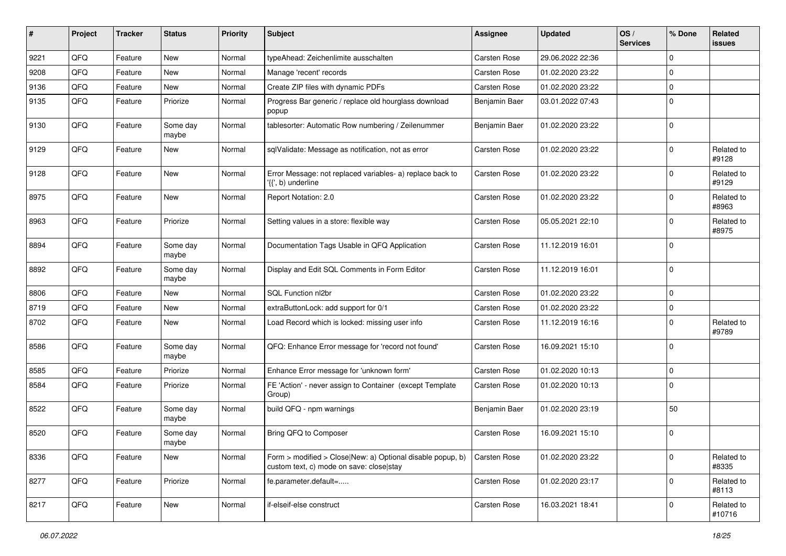| ∦    | Project | <b>Tracker</b> | <b>Status</b>     | <b>Priority</b> | <b>Subject</b>                                                                                         | <b>Assignee</b>     | <b>Updated</b>   | OS/<br><b>Services</b> | % Done      | Related<br><b>issues</b> |
|------|---------|----------------|-------------------|-----------------|--------------------------------------------------------------------------------------------------------|---------------------|------------------|------------------------|-------------|--------------------------|
| 9221 | QFQ     | Feature        | New               | Normal          | typeAhead: Zeichenlimite ausschalten                                                                   | Carsten Rose        | 29.06.2022 22:36 |                        | $\mathbf 0$ |                          |
| 9208 | QFQ     | Feature        | <b>New</b>        | Normal          | Manage 'recent' records                                                                                | <b>Carsten Rose</b> | 01.02.2020 23:22 |                        | $\mathbf 0$ |                          |
| 9136 | QFQ     | Feature        | New               | Normal          | Create ZIP files with dynamic PDFs                                                                     | Carsten Rose        | 01.02.2020 23:22 |                        | $\mathbf 0$ |                          |
| 9135 | QFQ     | Feature        | Priorize          | Normal          | Progress Bar generic / replace old hourglass download<br>popup                                         | Benjamin Baer       | 03.01.2022 07:43 |                        | $\mathbf 0$ |                          |
| 9130 | QFQ     | Feature        | Some day<br>maybe | Normal          | tablesorter: Automatic Row numbering / Zeilenummer                                                     | Benjamin Baer       | 01.02.2020 23:22 |                        | $\mathbf 0$ |                          |
| 9129 | QFQ     | Feature        | New               | Normal          | sqlValidate: Message as notification, not as error                                                     | Carsten Rose        | 01.02.2020 23:22 |                        | $\mathbf 0$ | Related to<br>#9128      |
| 9128 | QFQ     | Feature        | <b>New</b>        | Normal          | Error Message: not replaced variables- a) replace back to<br>'{{', b) underline                        | Carsten Rose        | 01.02.2020 23:22 |                        | $\mathbf 0$ | Related to<br>#9129      |
| 8975 | QFQ     | Feature        | <b>New</b>        | Normal          | Report Notation: 2.0                                                                                   | <b>Carsten Rose</b> | 01.02.2020 23:22 |                        | $\mathbf 0$ | Related to<br>#8963      |
| 8963 | QFQ     | Feature        | Priorize          | Normal          | Setting values in a store: flexible way                                                                | Carsten Rose        | 05.05.2021 22:10 |                        | $\mathbf 0$ | Related to<br>#8975      |
| 8894 | QFQ     | Feature        | Some day<br>maybe | Normal          | Documentation Tags Usable in QFQ Application                                                           | Carsten Rose        | 11.12.2019 16:01 |                        | $\mathbf 0$ |                          |
| 8892 | QFQ     | Feature        | Some day<br>maybe | Normal          | Display and Edit SQL Comments in Form Editor                                                           | Carsten Rose        | 11.12.2019 16:01 |                        | $\mathbf 0$ |                          |
| 8806 | QFQ     | Feature        | <b>New</b>        | Normal          | SQL Function nl2br                                                                                     | <b>Carsten Rose</b> | 01.02.2020 23:22 |                        | $\mathbf 0$ |                          |
| 8719 | QFQ     | Feature        | <b>New</b>        | Normal          | extraButtonLock: add support for 0/1                                                                   | Carsten Rose        | 01.02.2020 23:22 |                        | $\mathbf 0$ |                          |
| 8702 | QFQ     | Feature        | New               | Normal          | Load Record which is locked: missing user info                                                         | Carsten Rose        | 11.12.2019 16:16 |                        | $\mathbf 0$ | Related to<br>#9789      |
| 8586 | QFQ     | Feature        | Some day<br>maybe | Normal          | QFQ: Enhance Error message for 'record not found'                                                      | Carsten Rose        | 16.09.2021 15:10 |                        | $\mathbf 0$ |                          |
| 8585 | QFQ     | Feature        | Priorize          | Normal          | Enhance Error message for 'unknown form'                                                               | Carsten Rose        | 01.02.2020 10:13 |                        | $\mathbf 0$ |                          |
| 8584 | QFQ     | Feature        | Priorize          | Normal          | FE 'Action' - never assign to Container (except Template<br>Group)                                     | Carsten Rose        | 01.02.2020 10:13 |                        | $\mathbf 0$ |                          |
| 8522 | QFQ     | Feature        | Some day<br>maybe | Normal          | build QFQ - npm warnings                                                                               | Benjamin Baer       | 01.02.2020 23:19 |                        | 50          |                          |
| 8520 | QFQ     | Feature        | Some day<br>maybe | Normal          | Bring QFQ to Composer                                                                                  | Carsten Rose        | 16.09.2021 15:10 |                        | $\mathbf 0$ |                          |
| 8336 | QFQ     | Feature        | New               | Normal          | Form > modified > Close New: a) Optional disable popup, b)<br>custom text, c) mode on save: close stay | Carsten Rose        | 01.02.2020 23:22 |                        | $\mathbf 0$ | Related to<br>#8335      |
| 8277 | QFQ     | Feature        | Priorize          | Normal          | fe.parameter.default=                                                                                  | Carsten Rose        | 01.02.2020 23:17 |                        | $\mathbf 0$ | Related to<br>#8113      |
| 8217 | QFQ     | Feature        | New               | Normal          | if-elseif-else construct                                                                               | Carsten Rose        | 16.03.2021 18:41 |                        | $\mathbf 0$ | Related to<br>#10716     |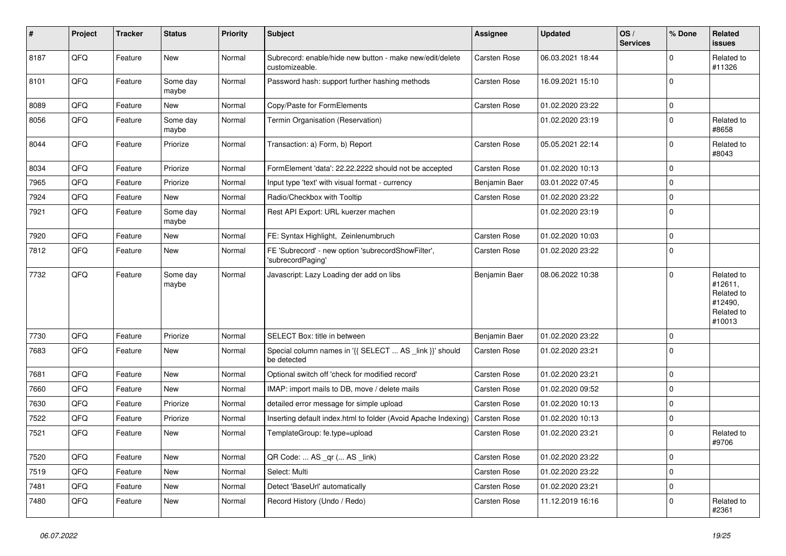| $\vert$ # | Project | <b>Tracker</b> | <b>Status</b>     | <b>Priority</b> | <b>Subject</b>                                                             | Assignee            | <b>Updated</b>   | OS/<br><b>Services</b> | % Done      | <b>Related</b><br><b>issues</b>                                        |
|-----------|---------|----------------|-------------------|-----------------|----------------------------------------------------------------------------|---------------------|------------------|------------------------|-------------|------------------------------------------------------------------------|
| 8187      | QFQ     | Feature        | <b>New</b>        | Normal          | Subrecord: enable/hide new button - make new/edit/delete<br>customizeable. | <b>Carsten Rose</b> | 06.03.2021 18:44 |                        | $\mathbf 0$ | Related to<br>#11326                                                   |
| 8101      | QFQ     | Feature        | Some day<br>maybe | Normal          | Password hash: support further hashing methods                             | Carsten Rose        | 16.09.2021 15:10 |                        | $\mathbf 0$ |                                                                        |
| 8089      | QFQ     | Feature        | New               | Normal          | Copy/Paste for FormElements                                                | Carsten Rose        | 01.02.2020 23:22 |                        | $\Omega$    |                                                                        |
| 8056      | QFQ     | Feature        | Some day<br>maybe | Normal          | Termin Organisation (Reservation)                                          |                     | 01.02.2020 23:19 |                        | $\mathbf 0$ | Related to<br>#8658                                                    |
| 8044      | QFQ     | Feature        | Priorize          | Normal          | Transaction: a) Form, b) Report                                            | <b>Carsten Rose</b> | 05.05.2021 22:14 |                        | $\Omega$    | Related to<br>#8043                                                    |
| 8034      | QFQ     | Feature        | Priorize          | Normal          | FormElement 'data': 22.22.2222 should not be accepted                      | <b>Carsten Rose</b> | 01.02.2020 10:13 |                        | $\mathbf 0$ |                                                                        |
| 7965      | QFQ     | Feature        | Priorize          | Normal          | Input type 'text' with visual format - currency                            | Benjamin Baer       | 03.01.2022 07:45 |                        | $\mathbf 0$ |                                                                        |
| 7924      | QFQ     | Feature        | New               | Normal          | Radio/Checkbox with Tooltip                                                | Carsten Rose        | 01.02.2020 23:22 |                        | $\mathbf 0$ |                                                                        |
| 7921      | QFQ     | Feature        | Some day<br>maybe | Normal          | Rest API Export: URL kuerzer machen                                        |                     | 01.02.2020 23:19 |                        | $\mathbf 0$ |                                                                        |
| 7920      | QFQ     | Feature        | New               | Normal          | FE: Syntax Highlight, Zeinlenumbruch                                       | <b>Carsten Rose</b> | 01.02.2020 10:03 |                        | $\mathbf 0$ |                                                                        |
| 7812      | QFQ     | Feature        | <b>New</b>        | Normal          | FE 'Subrecord' - new option 'subrecordShowFilter',<br>'subrecordPaging'    | Carsten Rose        | 01.02.2020 23:22 |                        | $\mathbf 0$ |                                                                        |
| 7732      | QFQ     | Feature        | Some day<br>maybe | Normal          | Javascript: Lazy Loading der add on libs                                   | Benjamin Baer       | 08.06.2022 10:38 |                        | $\mathbf 0$ | Related to<br>#12611,<br>Related to<br>#12490,<br>Related to<br>#10013 |
| 7730      | QFQ     | Feature        | Priorize          | Normal          | SELECT Box: title in between                                               | Benjamin Baer       | 01.02.2020 23:22 |                        | $\mathbf 0$ |                                                                        |
| 7683      | QFQ     | Feature        | <b>New</b>        | Normal          | Special column names in '{{ SELECT  AS _link }}' should<br>be detected     | <b>Carsten Rose</b> | 01.02.2020 23:21 |                        | $\Omega$    |                                                                        |
| 7681      | QFQ     | Feature        | <b>New</b>        | Normal          | Optional switch off 'check for modified record'                            | Carsten Rose        | 01.02.2020 23:21 |                        | $\mathbf 0$ |                                                                        |
| 7660      | QFQ     | Feature        | <b>New</b>        | Normal          | IMAP: import mails to DB, move / delete mails                              | <b>Carsten Rose</b> | 01.02.2020 09:52 |                        | $\Omega$    |                                                                        |
| 7630      | QFQ     | Feature        | Priorize          | Normal          | detailed error message for simple upload                                   | <b>Carsten Rose</b> | 01.02.2020 10:13 |                        | $\mathbf 0$ |                                                                        |
| 7522      | QFQ     | Feature        | Priorize          | Normal          | Inserting default index.html to folder (Avoid Apache Indexing)             | <b>Carsten Rose</b> | 01.02.2020 10:13 |                        | $\mathbf 0$ |                                                                        |
| 7521      | QFQ     | Feature        | New               | Normal          | TemplateGroup: fe.type=upload                                              | <b>Carsten Rose</b> | 01.02.2020 23:21 |                        | $\mathbf 0$ | Related to<br>#9706                                                    |
| 7520      | QFQ     | Feature        | <b>New</b>        | Normal          | QR Code:  AS _qr ( AS _link)                                               | <b>Carsten Rose</b> | 01.02.2020 23:22 |                        | $\mathbf 0$ |                                                                        |
| 7519      | QFQ     | Feature        | New               | Normal          | Select: Multi                                                              | <b>Carsten Rose</b> | 01.02.2020 23:22 |                        | $\mathbf 0$ |                                                                        |
| 7481      | QFQ     | Feature        | <b>New</b>        | Normal          | Detect 'BaseUrl' automatically                                             | <b>Carsten Rose</b> | 01.02.2020 23:21 |                        | $\mathbf 0$ |                                                                        |
| 7480      | QFQ     | Feature        | New               | Normal          | Record History (Undo / Redo)                                               | Carsten Rose        | 11.12.2019 16:16 |                        | $\Omega$    | Related to<br>#2361                                                    |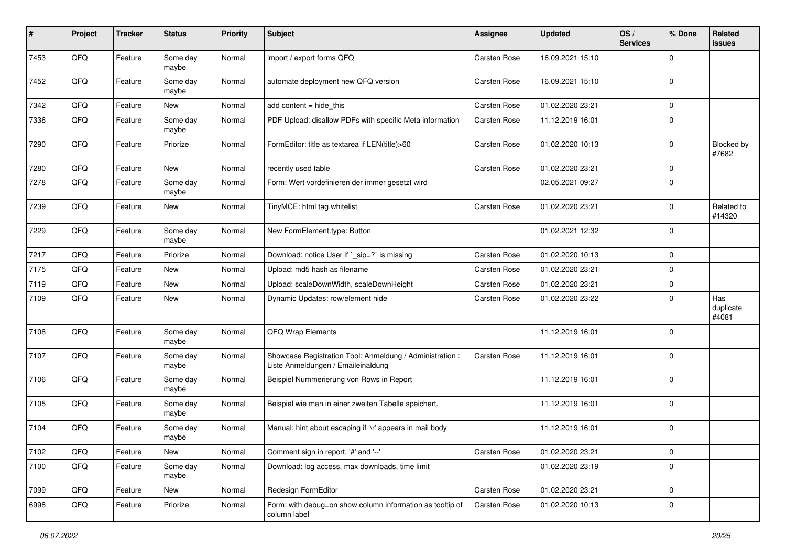| #    | Project | <b>Tracker</b> | <b>Status</b>     | <b>Priority</b> | <b>Subject</b>                                                                                 | <b>Assignee</b>     | <b>Updated</b>   | OS/<br><b>Services</b> | % Done      | <b>Related</b><br><b>issues</b> |
|------|---------|----------------|-------------------|-----------------|------------------------------------------------------------------------------------------------|---------------------|------------------|------------------------|-------------|---------------------------------|
| 7453 | QFQ     | Feature        | Some day<br>maybe | Normal          | import / export forms QFQ                                                                      | <b>Carsten Rose</b> | 16.09.2021 15:10 |                        | $\mathbf 0$ |                                 |
| 7452 | QFQ     | Feature        | Some day<br>maybe | Normal          | automate deployment new QFQ version                                                            | <b>Carsten Rose</b> | 16.09.2021 15:10 |                        | $\mathbf 0$ |                                 |
| 7342 | QFQ     | Feature        | New               | Normal          | add content = hide_this                                                                        | Carsten Rose        | 01.02.2020 23:21 |                        | 0           |                                 |
| 7336 | QFQ     | Feature        | Some day<br>maybe | Normal          | PDF Upload: disallow PDFs with specific Meta information                                       | <b>Carsten Rose</b> | 11.12.2019 16:01 |                        | $\mathbf 0$ |                                 |
| 7290 | QFQ     | Feature        | Priorize          | Normal          | FormEditor: title as textarea if LEN(title)>60                                                 | Carsten Rose        | 01.02.2020 10:13 |                        | $\mathbf 0$ | Blocked by<br>#7682             |
| 7280 | QFQ     | Feature        | New               | Normal          | recently used table                                                                            | Carsten Rose        | 01.02.2020 23:21 |                        | $\mathbf 0$ |                                 |
| 7278 | QFQ     | Feature        | Some day<br>maybe | Normal          | Form: Wert vordefinieren der immer gesetzt wird                                                |                     | 02.05.2021 09:27 |                        | $\mathbf 0$ |                                 |
| 7239 | QFQ     | Feature        | New               | Normal          | TinyMCE: html tag whitelist                                                                    | <b>Carsten Rose</b> | 01.02.2020 23:21 |                        | $\mathbf 0$ | Related to<br>#14320            |
| 7229 | QFQ     | Feature        | Some day<br>maybe | Normal          | New FormElement.type: Button                                                                   |                     | 01.02.2021 12:32 |                        | $\mathbf 0$ |                                 |
| 7217 | QFQ     | Feature        | Priorize          | Normal          | Download: notice User if `_sip=?` is missing                                                   | Carsten Rose        | 01.02.2020 10:13 |                        | $\mathbf 0$ |                                 |
| 7175 | QFQ     | Feature        | New               | Normal          | Upload: md5 hash as filename                                                                   | Carsten Rose        | 01.02.2020 23:21 |                        | $\mathbf 0$ |                                 |
| 7119 | QFQ     | Feature        | New               | Normal          | Upload: scaleDownWidth, scaleDownHeight                                                        | Carsten Rose        | 01.02.2020 23:21 |                        | $\mathbf 0$ |                                 |
| 7109 | QFQ     | Feature        | New               | Normal          | Dynamic Updates: row/element hide                                                              | Carsten Rose        | 01.02.2020 23:22 |                        | $\mathbf 0$ | Has<br>duplicate<br>#4081       |
| 7108 | QFQ     | Feature        | Some day<br>maybe | Normal          | QFQ Wrap Elements                                                                              |                     | 11.12.2019 16:01 |                        | $\mathbf 0$ |                                 |
| 7107 | QFQ     | Feature        | Some day<br>maybe | Normal          | Showcase Registration Tool: Anmeldung / Administration :<br>Liste Anmeldungen / Emaileinaldung | Carsten Rose        | 11.12.2019 16:01 |                        | $\mathbf 0$ |                                 |
| 7106 | QFQ     | Feature        | Some day<br>maybe | Normal          | Beispiel Nummerierung von Rows in Report                                                       |                     | 11.12.2019 16:01 |                        | $\mathbf 0$ |                                 |
| 7105 | QFQ     | Feature        | Some day<br>maybe | Normal          | Beispiel wie man in einer zweiten Tabelle speichert.                                           |                     | 11.12.2019 16:01 |                        | $\mathbf 0$ |                                 |
| 7104 | QFQ     | Feature        | Some day<br>maybe | Normal          | Manual: hint about escaping if '\r' appears in mail body                                       |                     | 11.12.2019 16:01 |                        | $\mathbf 0$ |                                 |
| 7102 | QFG     | Feature        | New               | Normal          | Comment sign in report: '#' and '--'                                                           | Carsten Rose        | 01.02.2020 23:21 |                        | $\pmb{0}$   |                                 |
| 7100 | QFQ     | Feature        | Some day<br>maybe | Normal          | Download: log access, max downloads, time limit                                                |                     | 01.02.2020 23:19 |                        | $\mathbf 0$ |                                 |
| 7099 | QFQ     | Feature        | New               | Normal          | Redesign FormEditor                                                                            | Carsten Rose        | 01.02.2020 23:21 |                        | $\mathsf 0$ |                                 |
| 6998 | QFQ     | Feature        | Priorize          | Normal          | Form: with debug=on show column information as tooltip of<br>column label                      | Carsten Rose        | 01.02.2020 10:13 |                        | $\mathbf 0$ |                                 |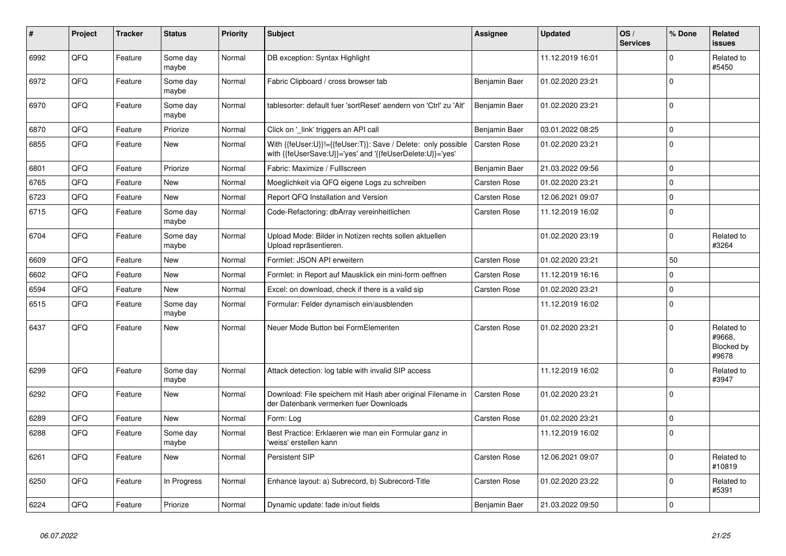| #    | <b>Project</b> | <b>Tracker</b> | <b>Status</b>     | <b>Priority</b> | Subject                                                                                                                    | <b>Assignee</b>     | <b>Updated</b>   | OS/<br><b>Services</b> | % Done      | <b>Related</b><br><b>issues</b>             |
|------|----------------|----------------|-------------------|-----------------|----------------------------------------------------------------------------------------------------------------------------|---------------------|------------------|------------------------|-------------|---------------------------------------------|
| 6992 | QFQ            | Feature        | Some day<br>maybe | Normal          | DB exception: Syntax Highlight                                                                                             |                     | 11.12.2019 16:01 |                        | $\Omega$    | Related to<br>#5450                         |
| 6972 | QFQ            | Feature        | Some day<br>maybe | Normal          | Fabric Clipboard / cross browser tab                                                                                       | Benjamin Baer       | 01.02.2020 23:21 |                        | $\mathbf 0$ |                                             |
| 6970 | QFQ            | Feature        | Some day<br>maybe | Normal          | tablesorter: default fuer 'sortReset' aendern von 'Ctrl' zu 'Alt'                                                          | Benjamin Baer       | 01.02.2020 23:21 |                        | $\Omega$    |                                             |
| 6870 | QFQ            | Feature        | Priorize          | Normal          | Click on 'link' triggers an API call                                                                                       | Benjamin Baer       | 03.01.2022 08:25 |                        | $\mathbf 0$ |                                             |
| 6855 | QFQ            | Feature        | New               | Normal          | With {{feUser:U}}!={{feUser:T}}: Save / Delete: only possible<br>with {{feUserSave:U}}='yes' and '{{feUserDelete:U}}='yes' | <b>Carsten Rose</b> | 01.02.2020 23:21 |                        | $\Omega$    |                                             |
| 6801 | QFQ            | Feature        | Priorize          | Normal          | Fabric: Maximize / FullIscreen                                                                                             | Benjamin Baer       | 21.03.2022 09:56 |                        | $\Omega$    |                                             |
| 6765 | QFQ            | Feature        | <b>New</b>        | Normal          | Moeglichkeit via QFQ eigene Logs zu schreiben                                                                              | Carsten Rose        | 01.02.2020 23:21 |                        | $\Omega$    |                                             |
| 6723 | QFQ            | Feature        | <b>New</b>        | Normal          | Report QFQ Installation and Version                                                                                        | <b>Carsten Rose</b> | 12.06.2021 09:07 |                        | $\mathbf 0$ |                                             |
| 6715 | QFQ            | Feature        | Some day<br>maybe | Normal          | Code-Refactoring: dbArray vereinheitlichen                                                                                 | <b>Carsten Rose</b> | 11.12.2019 16:02 |                        | $\mathbf 0$ |                                             |
| 6704 | QFQ            | Feature        | Some day<br>maybe | Normal          | Upload Mode: Bilder in Notizen rechts sollen aktuellen<br>Upload repräsentieren.                                           |                     | 01.02.2020 23:19 |                        | $\Omega$    | Related to<br>#3264                         |
| 6609 | QFQ            | Feature        | New               | Normal          | Formlet: JSON API erweitern                                                                                                | <b>Carsten Rose</b> | 01.02.2020 23:21 |                        | 50          |                                             |
| 6602 | QFQ            | Feature        | New               | Normal          | Formlet: in Report auf Mausklick ein mini-form oeffnen                                                                     | <b>Carsten Rose</b> | 11.12.2019 16:16 |                        | $\Omega$    |                                             |
| 6594 | QFQ            | Feature        | New               | Normal          | Excel: on download, check if there is a valid sip                                                                          | Carsten Rose        | 01.02.2020 23:21 |                        | $\Omega$    |                                             |
| 6515 | QFQ            | Feature        | Some day<br>maybe | Normal          | Formular: Felder dynamisch ein/ausblenden                                                                                  |                     | 11.12.2019 16:02 |                        | $\Omega$    |                                             |
| 6437 | QFQ            | Feature        | <b>New</b>        | Normal          | Neuer Mode Button bei FormElementen                                                                                        | <b>Carsten Rose</b> | 01.02.2020 23:21 |                        | $\mathbf 0$ | Related to<br>#9668.<br>Blocked by<br>#9678 |
| 6299 | QFQ            | Feature        | Some day<br>maybe | Normal          | Attack detection: log table with invalid SIP access                                                                        |                     | 11.12.2019 16:02 |                        | $\mathbf 0$ | Related to<br>#3947                         |
| 6292 | QFQ            | Feature        | <b>New</b>        | Normal          | Download: File speichern mit Hash aber original Filename in<br>der Datenbank vermerken fuer Downloads                      | <b>Carsten Rose</b> | 01.02.2020 23:21 |                        | $\Omega$    |                                             |
| 6289 | QFQ            | Feature        | New               | Normal          | Form: Log                                                                                                                  | <b>Carsten Rose</b> | 01.02.2020 23:21 |                        | $\mathbf 0$ |                                             |
| 6288 | QFQ            | Feature        | Some day<br>maybe | Normal          | Best Practice: Erklaeren wie man ein Formular ganz in<br>'weiss' erstellen kann                                            |                     | 11.12.2019 16:02 |                        | $\mathbf 0$ |                                             |
| 6261 | QFQ            | Feature        | New               | Normal          | <b>Persistent SIP</b>                                                                                                      | <b>Carsten Rose</b> | 12.06.2021 09:07 |                        | $\Omega$    | Related to<br>#10819                        |
| 6250 | QFQ            | Feature        | In Progress       | Normal          | Enhance layout: a) Subrecord, b) Subrecord-Title                                                                           | <b>Carsten Rose</b> | 01.02.2020 23:22 |                        | $\mathbf 0$ | Related to<br>#5391                         |
| 6224 | QFQ            | Feature        | Priorize          | Normal          | Dynamic update: fade in/out fields                                                                                         | Benjamin Baer       | 21.03.2022 09:50 |                        | $\Omega$    |                                             |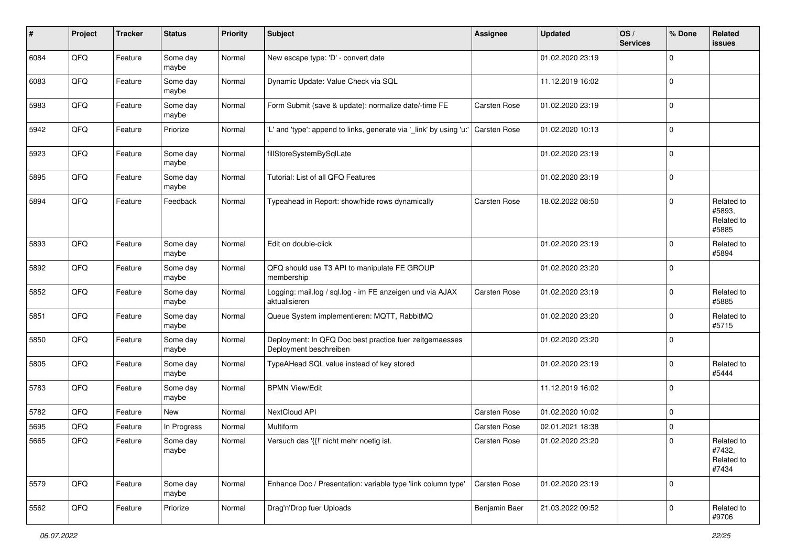| #    | Project | <b>Tracker</b> | <b>Status</b>     | <b>Priority</b> | <b>Subject</b>                                                                    | Assignee            | <b>Updated</b>   | OS/<br><b>Services</b> | % Done      | Related<br><b>issues</b>                    |
|------|---------|----------------|-------------------|-----------------|-----------------------------------------------------------------------------------|---------------------|------------------|------------------------|-------------|---------------------------------------------|
| 6084 | QFQ     | Feature        | Some day<br>maybe | Normal          | New escape type: 'D' - convert date                                               |                     | 01.02.2020 23:19 |                        | $\Omega$    |                                             |
| 6083 | QFQ     | Feature        | Some day<br>maybe | Normal          | Dynamic Update: Value Check via SQL                                               |                     | 11.12.2019 16:02 |                        | $\mathbf 0$ |                                             |
| 5983 | QFQ     | Feature        | Some day<br>maybe | Normal          | Form Submit (save & update): normalize date/-time FE                              | Carsten Rose        | 01.02.2020 23:19 |                        | $\Omega$    |                                             |
| 5942 | QFQ     | Feature        | Priorize          | Normal          | 'L' and 'type': append to links, generate via '_link' by using 'u:'               | <b>Carsten Rose</b> | 01.02.2020 10:13 |                        | $\Omega$    |                                             |
| 5923 | QFQ     | Feature        | Some day<br>maybe | Normal          | fillStoreSystemBySqlLate                                                          |                     | 01.02.2020 23:19 |                        | $\Omega$    |                                             |
| 5895 | QFQ     | Feature        | Some day<br>maybe | Normal          | Tutorial: List of all QFQ Features                                                |                     | 01.02.2020 23:19 |                        | $\Omega$    |                                             |
| 5894 | QFQ     | Feature        | Feedback          | Normal          | Typeahead in Report: show/hide rows dynamically                                   | Carsten Rose        | 18.02.2022 08:50 |                        | $\Omega$    | Related to<br>#5893,<br>Related to<br>#5885 |
| 5893 | QFQ     | Feature        | Some day<br>maybe | Normal          | Edit on double-click                                                              |                     | 01.02.2020 23:19 |                        | $\Omega$    | Related to<br>#5894                         |
| 5892 | QFQ     | Feature        | Some day<br>maybe | Normal          | QFQ should use T3 API to manipulate FE GROUP<br>membership                        |                     | 01.02.2020 23:20 |                        | $\Omega$    |                                             |
| 5852 | QFQ     | Feature        | Some day<br>maybe | Normal          | Logging: mail.log / sql.log - im FE anzeigen und via AJAX<br>aktualisieren        | Carsten Rose        | 01.02.2020 23:19 |                        | 0           | Related to<br>#5885                         |
| 5851 | QFQ     | Feature        | Some day<br>maybe | Normal          | Queue System implementieren: MQTT, RabbitMQ                                       |                     | 01.02.2020 23:20 |                        | $\Omega$    | Related to<br>#5715                         |
| 5850 | QFQ     | Feature        | Some day<br>maybe | Normal          | Deployment: In QFQ Doc best practice fuer zeitgemaesses<br>Deployment beschreiben |                     | 01.02.2020 23:20 |                        | $\Omega$    |                                             |
| 5805 | QFQ     | Feature        | Some day<br>maybe | Normal          | TypeAHead SQL value instead of key stored                                         |                     | 01.02.2020 23:19 |                        | 0           | Related to<br>#5444                         |
| 5783 | QFQ     | Feature        | Some day<br>maybe | Normal          | <b>BPMN View/Edit</b>                                                             |                     | 11.12.2019 16:02 |                        | $\Omega$    |                                             |
| 5782 | QFQ     | Feature        | New               | Normal          | NextCloud API                                                                     | Carsten Rose        | 01.02.2020 10:02 |                        | $\mathbf 0$ |                                             |
| 5695 | QFQ     | Feature        | In Progress       | Normal          | Multiform                                                                         | Carsten Rose        | 02.01.2021 18:38 |                        | $\Omega$    |                                             |
| 5665 | QFQ     | Feature        | Some day<br>maybe | Normal          | Versuch das '{{!' nicht mehr noetig ist.                                          | <b>Carsten Rose</b> | 01.02.2020 23:20 |                        | $\Omega$    | Related to<br>#7432,<br>Related to<br>#7434 |
| 5579 | QFQ     | Feature        | Some day<br>maybe | Normal          | Enhance Doc / Presentation: variable type 'link column type'                      | <b>Carsten Rose</b> | 01.02.2020 23:19 |                        | $\mathbf 0$ |                                             |
| 5562 | QFQ     | Feature        | Priorize          | Normal          | Drag'n'Drop fuer Uploads                                                          | Benjamin Baer       | 21.03.2022 09:52 |                        | $\mathbf 0$ | Related to<br>#9706                         |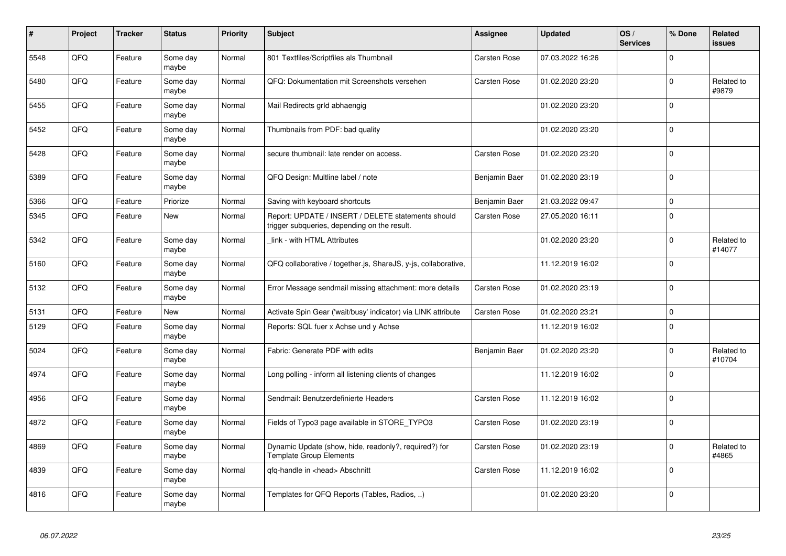| $\pmb{\sharp}$ | Project | <b>Tracker</b> | <b>Status</b>     | <b>Priority</b> | <b>Subject</b>                                                                                     | <b>Assignee</b>     | <b>Updated</b>   | OS/<br><b>Services</b> | % Done      | Related<br><b>issues</b> |
|----------------|---------|----------------|-------------------|-----------------|----------------------------------------------------------------------------------------------------|---------------------|------------------|------------------------|-------------|--------------------------|
| 5548           | QFQ     | Feature        | Some day<br>maybe | Normal          | 801 Textfiles/Scriptfiles als Thumbnail                                                            | Carsten Rose        | 07.03.2022 16:26 |                        | $\Omega$    |                          |
| 5480           | QFQ     | Feature        | Some day<br>maybe | Normal          | QFQ: Dokumentation mit Screenshots versehen                                                        | <b>Carsten Rose</b> | 01.02.2020 23:20 |                        | $\Omega$    | Related to<br>#9879      |
| 5455           | QFQ     | Feature        | Some day<br>maybe | Normal          | Mail Redirects grld abhaengig                                                                      |                     | 01.02.2020 23:20 |                        | $\Omega$    |                          |
| 5452           | QFQ     | Feature        | Some day<br>maybe | Normal          | Thumbnails from PDF: bad quality                                                                   |                     | 01.02.2020 23:20 |                        | $\mathbf 0$ |                          |
| 5428           | QFQ     | Feature        | Some day<br>maybe | Normal          | secure thumbnail: late render on access.                                                           | <b>Carsten Rose</b> | 01.02.2020 23:20 |                        | $\Omega$    |                          |
| 5389           | QFQ     | Feature        | Some day<br>maybe | Normal          | QFQ Design: Multline label / note                                                                  | Benjamin Baer       | 01.02.2020 23:19 |                        | $\Omega$    |                          |
| 5366           | QFQ     | Feature        | Priorize          | Normal          | Saving with keyboard shortcuts                                                                     | Benjamin Baer       | 21.03.2022 09:47 |                        | $\Omega$    |                          |
| 5345           | QFQ     | Feature        | New               | Normal          | Report: UPDATE / INSERT / DELETE statements should<br>trigger subqueries, depending on the result. | <b>Carsten Rose</b> | 27.05.2020 16:11 |                        | $\Omega$    |                          |
| 5342           | QFQ     | Feature        | Some day<br>maybe | Normal          | link - with HTML Attributes                                                                        |                     | 01.02.2020 23:20 |                        | $\Omega$    | Related to<br>#14077     |
| 5160           | QFQ     | Feature        | Some day<br>maybe | Normal          | QFQ collaborative / together.js, ShareJS, y-js, collaborative,                                     |                     | 11.12.2019 16:02 |                        | $\Omega$    |                          |
| 5132           | QFQ     | Feature        | Some day<br>maybe | Normal          | Error Message sendmail missing attachment: more details                                            | <b>Carsten Rose</b> | 01.02.2020 23:19 |                        | $\Omega$    |                          |
| 5131           | QFQ     | Feature        | <b>New</b>        | Normal          | Activate Spin Gear ('wait/busy' indicator) via LINK attribute                                      | <b>Carsten Rose</b> | 01.02.2020 23:21 |                        | $\Omega$    |                          |
| 5129           | QFQ     | Feature        | Some day<br>maybe | Normal          | Reports: SQL fuer x Achse und y Achse                                                              |                     | 11.12.2019 16:02 |                        | $\Omega$    |                          |
| 5024           | QFQ     | Feature        | Some day<br>maybe | Normal          | Fabric: Generate PDF with edits                                                                    | Benjamin Baer       | 01.02.2020 23:20 |                        | $\Omega$    | Related to<br>#10704     |
| 4974           | QFQ     | Feature        | Some day<br>maybe | Normal          | Long polling - inform all listening clients of changes                                             |                     | 11.12.2019 16:02 |                        | $\Omega$    |                          |
| 4956           | QFQ     | Feature        | Some day<br>maybe | Normal          | Sendmail: Benutzerdefinierte Headers                                                               | <b>Carsten Rose</b> | 11.12.2019 16:02 |                        | $\Omega$    |                          |
| 4872           | QFQ     | Feature        | Some day<br>maybe | Normal          | Fields of Typo3 page available in STORE_TYPO3                                                      | <b>Carsten Rose</b> | 01.02.2020 23:19 |                        | $\Omega$    |                          |
| 4869           | QFQ     | Feature        | Some day<br>maybe | Normal          | Dynamic Update (show, hide, readonly?, required?) for<br><b>Template Group Elements</b>            | Carsten Rose        | 01.02.2020 23:19 |                        | $\Omega$    | Related to<br>#4865      |
| 4839           | QFQ     | Feature        | Some day<br>maybe | Normal          | qfq-handle in <head> Abschnitt</head>                                                              | Carsten Rose        | 11.12.2019 16:02 |                        | $\Omega$    |                          |
| 4816           | QFQ     | Feature        | Some day<br>maybe | Normal          | Templates for QFQ Reports (Tables, Radios, )                                                       |                     | 01.02.2020 23:20 |                        | $\Omega$    |                          |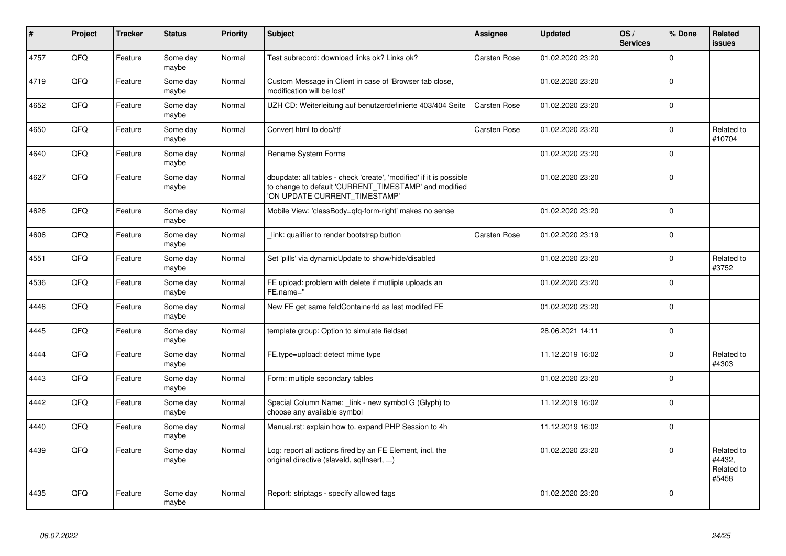| #    | Project | <b>Tracker</b> | <b>Status</b>     | Priority | <b>Subject</b>                                                                                                                                                | Assignee            | <b>Updated</b>   | OS/<br><b>Services</b> | % Done      | <b>Related</b><br><b>issues</b>             |
|------|---------|----------------|-------------------|----------|---------------------------------------------------------------------------------------------------------------------------------------------------------------|---------------------|------------------|------------------------|-------------|---------------------------------------------|
| 4757 | QFQ     | Feature        | Some day<br>maybe | Normal   | Test subrecord: download links ok? Links ok?                                                                                                                  | <b>Carsten Rose</b> | 01.02.2020 23:20 |                        | $\Omega$    |                                             |
| 4719 | QFQ     | Feature        | Some day<br>maybe | Normal   | Custom Message in Client in case of 'Browser tab close,<br>modification will be lost'                                                                         |                     | 01.02.2020 23:20 |                        | $\Omega$    |                                             |
| 4652 | QFQ     | Feature        | Some day<br>maybe | Normal   | UZH CD: Weiterleitung auf benutzerdefinierte 403/404 Seite                                                                                                    | Carsten Rose        | 01.02.2020 23:20 |                        | $\mathbf 0$ |                                             |
| 4650 | QFQ     | Feature        | Some day<br>maybe | Normal   | Convert html to doc/rtf                                                                                                                                       | Carsten Rose        | 01.02.2020 23:20 |                        | $\Omega$    | Related to<br>#10704                        |
| 4640 | QFQ     | Feature        | Some day<br>maybe | Normal   | Rename System Forms                                                                                                                                           |                     | 01.02.2020 23:20 |                        | $\mathbf 0$ |                                             |
| 4627 | QFQ     | Feature        | Some day<br>maybe | Normal   | dbupdate: all tables - check 'create', 'modified' if it is possible<br>to change to default 'CURRENT_TIMESTAMP' and modified<br>'ON UPDATE CURRENT TIMESTAMP' |                     | 01.02.2020 23:20 |                        | $\mathbf 0$ |                                             |
| 4626 | QFQ     | Feature        | Some day<br>maybe | Normal   | Mobile View: 'classBody=qfq-form-right' makes no sense                                                                                                        |                     | 01.02.2020 23:20 |                        | $\Omega$    |                                             |
| 4606 | QFQ     | Feature        | Some day<br>maybe | Normal   | link: qualifier to render bootstrap button                                                                                                                    | <b>Carsten Rose</b> | 01.02.2020 23:19 |                        | $\mathbf 0$ |                                             |
| 4551 | QFQ     | Feature        | Some day<br>maybe | Normal   | Set 'pills' via dynamicUpdate to show/hide/disabled                                                                                                           |                     | 01.02.2020 23:20 |                        | $\Omega$    | Related to<br>#3752                         |
| 4536 | QFQ     | Feature        | Some day<br>maybe | Normal   | FE upload: problem with delete if mutliple uploads an<br>FE.name="                                                                                            |                     | 01.02.2020 23:20 |                        | $\mathbf 0$ |                                             |
| 4446 | QFQ     | Feature        | Some day<br>maybe | Normal   | New FE get same feldContainerId as last modifed FE                                                                                                            |                     | 01.02.2020 23:20 |                        | $\mathbf 0$ |                                             |
| 4445 | QFQ     | Feature        | Some day<br>maybe | Normal   | template group: Option to simulate fieldset                                                                                                                   |                     | 28.06.2021 14:11 |                        | $\Omega$    |                                             |
| 4444 | QFQ     | Feature        | Some day<br>maybe | Normal   | FE.type=upload: detect mime type                                                                                                                              |                     | 11.12.2019 16:02 |                        | $\Omega$    | Related to<br>#4303                         |
| 4443 | QFQ     | Feature        | Some day<br>maybe | Normal   | Form: multiple secondary tables                                                                                                                               |                     | 01.02.2020 23:20 |                        | $\Omega$    |                                             |
| 4442 | QFQ     | Feature        | Some day<br>maybe | Normal   | Special Column Name: _link - new symbol G (Glyph) to<br>choose any available symbol                                                                           |                     | 11.12.2019 16:02 |                        | $\mathbf 0$ |                                             |
| 4440 | QFQ     | Feature        | Some day<br>maybe | Normal   | Manual.rst: explain how to. expand PHP Session to 4h                                                                                                          |                     | 11.12.2019 16:02 |                        | $\Omega$    |                                             |
| 4439 | QFQ     | Feature        | Some day<br>maybe | Normal   | Log: report all actions fired by an FE Element, incl. the<br>original directive (slaveld, sqllnsert, )                                                        |                     | 01.02.2020 23:20 |                        | $\Omega$    | Related to<br>#4432.<br>Related to<br>#5458 |
| 4435 | QFQ     | Feature        | Some day<br>maybe | Normal   | Report: striptags - specify allowed tags                                                                                                                      |                     | 01.02.2020 23:20 |                        | $\Omega$    |                                             |